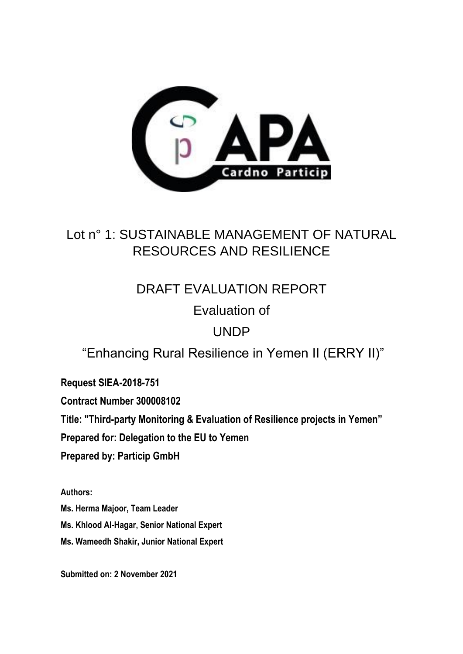

# Lot n° 1: SUSTAINABLE MANAGEMENT OF NATURAL RESOURCES AND RESILIENCE

# DRAFT EVALUATION REPORT

# Evaluation of

# UNDP

# "Enhancing Rural Resilience in Yemen II (ERRY II)"

**Request SIEA-2018-751**

**Contract Number 300008102**

**Title: "Third-party Monitoring & Evaluation of Resilience projects in Yemen"**

**Prepared for: Delegation to the EU to Yemen**

**Prepared by: Particip GmbH**

**Authors:** 

**Ms. Herma Majoor, Team Leader Ms. Khlood Al-Hagar, Senior National Expert Ms. Wameedh Shakir, Junior National Expert**

**Submitted on: 2 November 2021**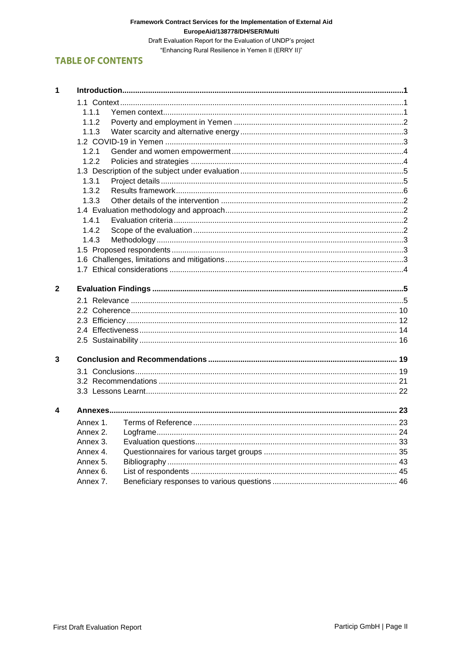#### Framework Contract Services for the Implementation of External Aid EuropeAid/138778/DH/SER/Multi

Draft Evaluation Report for the Evaluation of UNDP's project "Enhancing Rural Resilience in Yemen II (ERRY II)"

# **TABLE OF CONTENTS**

| 1            |          |  |  |  |  |  |  |
|--------------|----------|--|--|--|--|--|--|
|              |          |  |  |  |  |  |  |
|              | 1.1.1    |  |  |  |  |  |  |
|              | 1.1.2    |  |  |  |  |  |  |
|              | 1.1.3    |  |  |  |  |  |  |
|              |          |  |  |  |  |  |  |
|              | 1.2.1    |  |  |  |  |  |  |
|              | 1.2.2    |  |  |  |  |  |  |
|              |          |  |  |  |  |  |  |
|              | 1.3.1    |  |  |  |  |  |  |
|              | 1.3.2    |  |  |  |  |  |  |
|              | 1.3.3    |  |  |  |  |  |  |
|              |          |  |  |  |  |  |  |
|              | 1.4.1    |  |  |  |  |  |  |
|              | 1.4.2    |  |  |  |  |  |  |
|              | 1.4.3    |  |  |  |  |  |  |
|              |          |  |  |  |  |  |  |
|              |          |  |  |  |  |  |  |
|              |          |  |  |  |  |  |  |
|              |          |  |  |  |  |  |  |
| $\mathbf{2}$ |          |  |  |  |  |  |  |
|              |          |  |  |  |  |  |  |
|              |          |  |  |  |  |  |  |
|              |          |  |  |  |  |  |  |
|              |          |  |  |  |  |  |  |
|              |          |  |  |  |  |  |  |
|              |          |  |  |  |  |  |  |
| 3            |          |  |  |  |  |  |  |
|              |          |  |  |  |  |  |  |
|              |          |  |  |  |  |  |  |
|              |          |  |  |  |  |  |  |
| 4            |          |  |  |  |  |  |  |
|              | Annex 1. |  |  |  |  |  |  |
|              | Annex 2. |  |  |  |  |  |  |
|              | Annex 3. |  |  |  |  |  |  |
|              | Annex 4. |  |  |  |  |  |  |
|              | Annex 5. |  |  |  |  |  |  |
|              | Annex 6. |  |  |  |  |  |  |
|              | Annex 7. |  |  |  |  |  |  |
|              |          |  |  |  |  |  |  |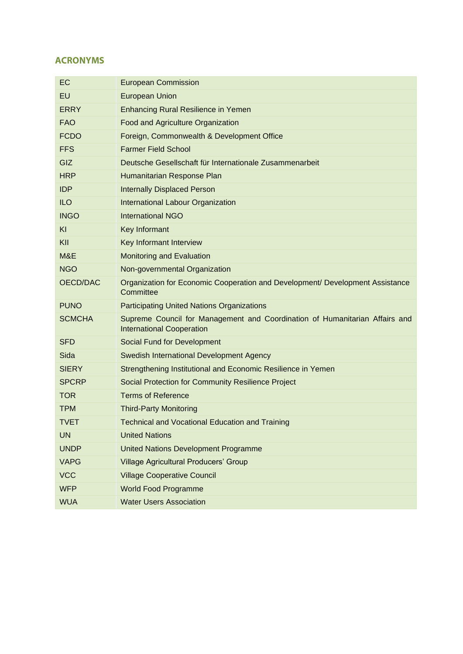# **ACRONYMS**

| EC            | <b>European Commission</b>                                                                                      |
|---------------|-----------------------------------------------------------------------------------------------------------------|
| EU            | <b>European Union</b>                                                                                           |
| <b>ERRY</b>   | <b>Enhancing Rural Resilience in Yemen</b>                                                                      |
| <b>FAO</b>    | Food and Agriculture Organization                                                                               |
| <b>FCDO</b>   | Foreign, Commonwealth & Development Office                                                                      |
| <b>FFS</b>    | <b>Farmer Field School</b>                                                                                      |
| GIZ           | Deutsche Gesellschaft für Internationale Zusammenarbeit                                                         |
| <b>HRP</b>    | Humanitarian Response Plan                                                                                      |
| <b>IDP</b>    | <b>Internally Displaced Person</b>                                                                              |
| <b>ILO</b>    | International Labour Organization                                                                               |
| <b>INGO</b>   | <b>International NGO</b>                                                                                        |
| KI            | Key Informant                                                                                                   |
| KII           | Key Informant Interview                                                                                         |
| M&E           | <b>Monitoring and Evaluation</b>                                                                                |
| <b>NGO</b>    | Non-governmental Organization                                                                                   |
| OECD/DAC      | Organization for Economic Cooperation and Development/ Development Assistance<br>Committee                      |
| <b>PUNO</b>   | <b>Participating United Nations Organizations</b>                                                               |
| <b>SCMCHA</b> | Supreme Council for Management and Coordination of Humanitarian Affairs and<br><b>International Cooperation</b> |
| <b>SFD</b>    | Social Fund for Development                                                                                     |
| Sida          | Swedish International Development Agency                                                                        |
| <b>SIERY</b>  | Strengthening Institutional and Economic Resilience in Yemen                                                    |
| <b>SPCRP</b>  | Social Protection for Community Resilience Project                                                              |
| <b>TOR</b>    | <b>Terms of Reference</b>                                                                                       |
| <b>TPM</b>    | <b>Third-Party Monitoring</b>                                                                                   |
| <b>TVET</b>   | <b>Technical and Vocational Education and Training</b>                                                          |
| <b>UN</b>     | <b>United Nations</b>                                                                                           |
| <b>UNDP</b>   | <b>United Nations Development Programme</b>                                                                     |
| <b>VAPG</b>   | <b>Village Agricultural Producers' Group</b>                                                                    |
| <b>VCC</b>    | <b>Village Cooperative Council</b>                                                                              |
| <b>WFP</b>    | <b>World Food Programme</b>                                                                                     |
| <b>WUA</b>    | <b>Water Users Association</b>                                                                                  |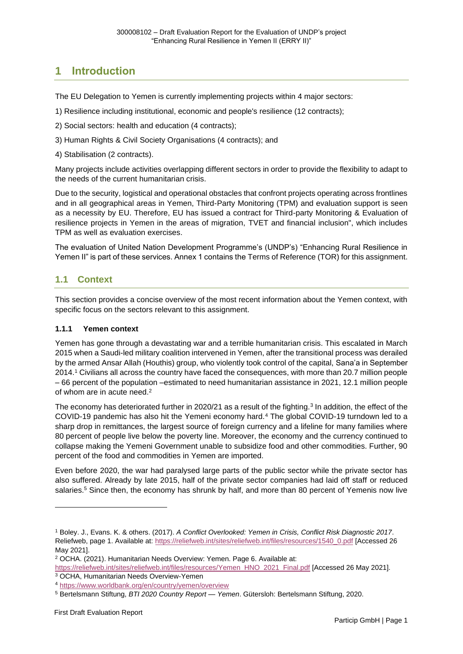# <span id="page-4-0"></span>**1 Introduction**

The EU Delegation to Yemen is currently implementing projects within 4 major sectors:

- 1) Resilience including institutional, economic and people's resilience (12 contracts);
- 2) Social sectors: health and education (4 contracts);
- 3) Human Rights & Civil Society Organisations (4 contracts); and
- 4) Stabilisation (2 contracts).

Many projects include activities overlapping different sectors in order to provide the flexibility to adapt to the needs of the current humanitarian crisis.

Due to the security, logistical and operational obstacles that confront projects operating across frontlines and in all geographical areas in Yemen, Third-Party Monitoring (TPM) and evaluation support is seen as a necessity by EU. Therefore, EU has issued a contract for Third-party Monitoring & Evaluation of resilience projects in Yemen in the areas of migration, TVET and financial inclusion", which includes TPM as well as evaluation exercises.

The evaluation of United Nation Development Programme's (UNDP's) "Enhancing Rural Resilience in Yemen II" is part of these services. Annex 1 contains the Terms of Reference (TOR) for this assignment.

# <span id="page-4-1"></span>**1.1 Context**

This section provides a concise overview of the most recent information about the Yemen context, with specific focus on the sectors relevant to this assignment.

#### <span id="page-4-2"></span>**1.1.1 Yemen context**

Yemen has gone through a devastating war and a terrible humanitarian crisis. This escalated in March 2015 when a Saudi-led military coalition intervened in Yemen, after the transitional process was derailed by the armed Ansar Allah (Houthis) group, who violently took control of the capital, Sana'a in September 2014.<sup>1</sup> Civilians all across the country have faced the consequences, with more than 20.7 million people – 66 percent of the population –estimated to need humanitarian assistance in 2021, 12.1 million people of whom are in acute need.<sup>2</sup>

The economy has deteriorated further in 2020/21 as a result of the fighting.<sup>3</sup> In addition, the effect of the COVID-19 pandemic has also hit the Yemeni economy hard.<sup>4</sup> The global COVID-19 turndown led to a sharp drop in remittances, the largest source of foreign currency and a lifeline for many families where 80 percent of people live below the poverty line. Moreover, the economy and the currency continued to collapse making the Yemeni Government unable to subsidize food and other commodities. Further, 90 percent of the food and commodities in Yemen are imported.

Even before 2020, the war had paralysed large parts of the public sector while the private sector has also suffered. Already by late 2015, half of the private sector companies had laid off staff or reduced salaries.<sup>5</sup> Since then, the economy has shrunk by half, and more than 80 percent of Yemenis now live

<sup>1</sup> Boley. J., Evans. K. & others. (2017). *A Conflict Overlooked: Yemen in Crisis, Conflict Risk Diagnostic 2017*. Reliefweb, page 1. Available at: [https://reliefweb.int/sites/reliefweb.int/files/resources/1540\\_0.pdf](https://reliefweb.int/sites/reliefweb.int/files/resources/1540_0.pdf) [Accessed 26 May 2021].

<sup>2</sup> OCHA. (2021). Humanitarian Needs Overview: Yemen. Page 6. Available at:

[https://reliefweb.int/sites/reliefweb.int/files/resources/Yemen\\_HNO\\_2021\\_Final.pdf](https://reliefweb.int/sites/reliefweb.int/files/resources/Yemen_HNO_2021_Final.pdf) [Accessed 26 May 2021].

<sup>3</sup> OCHA, Humanitarian Needs Overview-Yemen

<sup>4</sup> <https://www.worldbank.org/en/country/yemen/overview>

<sup>5</sup> Bertelsmann Stiftung, *BTI 2020 Country Report — Yemen*. Gütersloh: Bertelsmann Stiftung, 2020.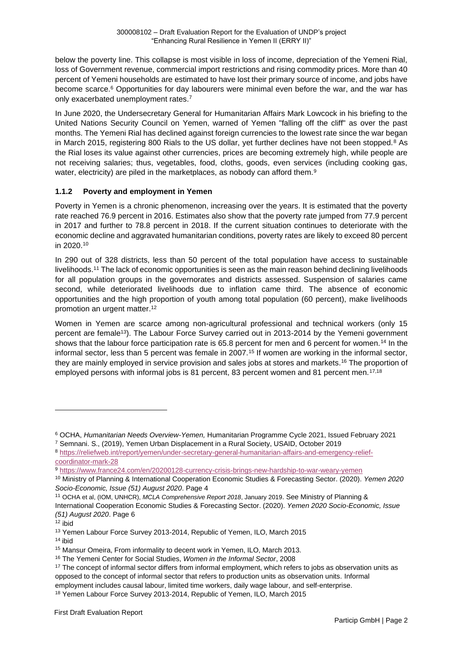below the poverty line. This collapse is most visible in loss of income, depreciation of the Yemeni Rial, loss of Government revenue, commercial import restrictions and rising commodity prices. More than 40 percent of Yemeni households are estimated to have lost their primary source of income, and jobs have become scarce.<sup>6</sup> Opportunities for day labourers were minimal even before the war, and the war has only exacerbated unemployment rates.<sup>7</sup>

In June 2020, the Undersecretary General for Humanitarian Affairs Mark Lowcock in his briefing to the United Nations Security Council on Yemen, warned of Yemen "falling off the cliff" as over the past months. The Yemeni Rial has declined against foreign currencies to the lowest rate since the war began in March 2015, registering 800 Rials to the US dollar, yet further declines have not been stopped.<sup>8</sup> As the Rial loses its value against other currencies, prices are becoming extremely high, while people are not receiving salaries; thus, vegetables, food, cloths, goods, even services (including cooking gas, water, electricity) are piled in the marketplaces, as nobody can afford them.<sup>9</sup>

#### <span id="page-5-0"></span>**1.1.2 Poverty and employment in Yemen**

Poverty in Yemen is a chronic phenomenon, increasing over the years. It is estimated that the poverty rate reached 76.9 percent in 2016. Estimates also show that the poverty rate jumped from 77.9 percent in 2017 and further to 78.8 percent in 2018. If the current situation continues to deteriorate with the economic decline and aggravated humanitarian conditions, poverty rates are likely to exceed 80 percent in 2020.<sup>10</sup>

In 290 out of 328 districts, less than 50 percent of the total population have access to sustainable livelihoods.<sup>11</sup> The lack of economic opportunities is seen as the main reason behind declining livelihoods for all population groups in the governorates and districts assessed. Suspension of salaries came second, while deteriorated livelihoods due to inflation came third. The absence of economic opportunities and the high proportion of youth among total population (60 percent), make livelihoods promotion an urgent matter.<sup>12</sup>

Women in Yemen are scarce among non-agricultural professional and technical workers (only 15 percent are female<sup>13</sup>). The Labour Force Survey carried out in 2013-2014 by the Yemeni government shows that the labour force participation rate is 65.8 percent for men and 6 percent for women.<sup>14</sup> In the informal sector, less than 5 percent was female in 2007.<sup>15</sup> If women are working in the informal sector, they are mainly employed in service provision and sales jobs at stores and markets.<sup>16</sup> The proportion of employed persons with informal jobs is 81 percent, 83 percent women and 81 percent men.<sup>17,18</sup>

<sup>6</sup> OCHA, *Humanitarian Needs Overview-Yemen,* Humanitarian Programme Cycle 2021, Issued February 2021

<sup>7</sup> Semnani. S., (2019), Yemen Urban Displacement in a Rural Society, USAID, October 2019

<sup>8</sup> [https://reliefweb.int/report/yemen/under-secretary-general-humanitarian-affairs-and-emergency-relief](https://reliefweb.int/report/yemen/under-secretary-general-humanitarian-affairs-and-emergency-relief-coordinator-mark-28)[coordinator-mark-28](https://reliefweb.int/report/yemen/under-secretary-general-humanitarian-affairs-and-emergency-relief-coordinator-mark-28)

<sup>9</sup> <https://www.france24.com/en/20200128-currency-crisis-brings-new-hardship-to-war-weary-yemen>

<sup>10</sup> Ministry of Planning & International Cooperation Economic Studies & Forecasting Sector. (2020). *Yemen 2020 Socio-Economic, Issue (51) August 2020*. Page 4

<sup>11</sup> OCHA et al, (IOM, UNHCR), *MCLA Comprehensive Report 2018*, January 2019. See Ministry of Planning & International Cooperation Economic Studies & Forecasting Sector. (2020). *Yemen 2020 Socio-Economic, Issue (51) August 2020*. Page 6

<sup>12</sup> ibid

<sup>13</sup> Yemen Labour Force Survey 2013-2014, Republic of Yemen, ILO, March 2015

<sup>14</sup> ibid

<sup>15</sup> Mansur Omeira, From informality to decent work in Yemen, ILO, March 2013.

<sup>16</sup> The Yemeni Center for Social Studies, *Women in the Informal Sector*, 2008

<sup>&</sup>lt;sup>17</sup> The concept of informal sector differs from informal employment, which refers to jobs as observation units as opposed to the concept of informal sector that refers to production units as observation units. Informal employment includes causal labour, limited time workers, daily wage labour, and self-enterprise.

<sup>18</sup> Yemen Labour Force Survey 2013-2014, Republic of Yemen, ILO, March 2015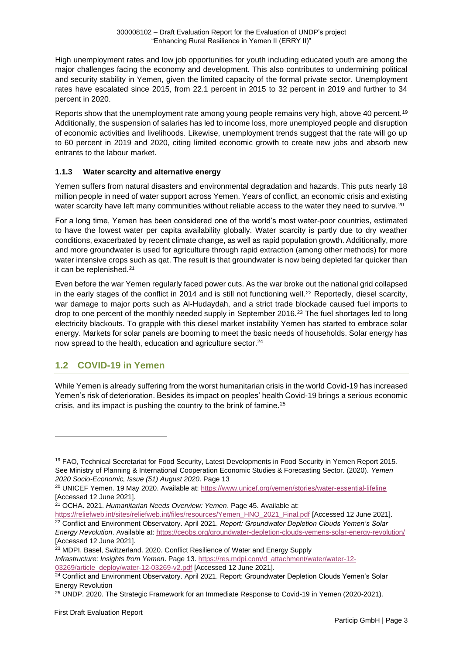High unemployment rates and low job opportunities for youth including educated youth are among the major challenges facing the economy and development. This also contributes to undermining political and security stability in Yemen, given the limited capacity of the formal private sector. Unemployment rates have escalated since 2015, from 22.1 percent in 2015 to 32 percent in 2019 and further to 34 percent in 2020.

Reports show that the unemployment rate among young people remains very high, above 40 percent.<sup>19</sup> Additionally, the suspension of salaries has led to income loss, more unemployed people and disruption of economic activities and livelihoods. Likewise, unemployment trends suggest that the rate will go up to 60 percent in 2019 and 2020, citing limited economic growth to create new jobs and absorb new entrants to the labour market.

#### <span id="page-6-0"></span>**1.1.3 Water scarcity and alternative energy**

Yemen suffers from natural disasters and environmental degradation and hazards. This puts nearly 18 million people in need of water support across Yemen. Years of conflict, an economic crisis and existing water scarcity have left many communities without reliable access to the water they need to survive.<sup>20</sup>

For a long time, Yemen has been considered one of the world's most water-poor countries, estimated to have the lowest water per capita availability globally. Water scarcity is partly due to dry weather conditions, exacerbated by recent climate change, as well as rapid population growth. Additionally, more and more groundwater is used for agriculture through rapid extraction (among other methods) for more water intensive crops such as qat. The result is that groundwater is now being depleted far quicker than it can be replenished.<sup>21</sup>

Even before the war Yemen regularly faced power cuts. As the war broke out the national grid collapsed in the early stages of the conflict in 2014 and is still not functioning well.<sup>22</sup> Reportedly, diesel scarcity, war damage to major ports such as Al-Hudaydah, and a strict trade blockade caused fuel imports to drop to one percent of the monthly needed supply in September 2016.<sup>23</sup> The fuel shortages led to long electricity blackouts. To grapple with this diesel market instability Yemen has started to embrace solar energy. Markets for solar panels are booming to meet the basic needs of households. Solar energy has now spread to the health, education and agriculture sector.<sup>24</sup>

# <span id="page-6-1"></span>**1.2 COVID-19 in Yemen**

While Yemen is already suffering from the worst humanitarian crisis in the world Covid-19 has increased Yemen's risk of deterioration. Besides its impact on peoples' health Covid-19 brings a serious economic crisis, and its impact is pushing the country to the brink of famine.<sup>25</sup>

[https://reliefweb.int/sites/reliefweb.int/files/resources/Yemen\\_HNO\\_2021\\_Final.pdf](https://reliefweb.int/sites/reliefweb.int/files/resources/Yemen_HNO_2021_Final.pdf) [Accessed 12 June 2021]. <sup>22</sup> Conflict and Environment Observatory. April 2021. *Report: Groundwater Depletion Clouds Yemen's Solar Energy Revolution*. Available at:<https://ceobs.org/groundwater-depletion-clouds-yemens-solar-energy-revolution/>

<sup>&</sup>lt;sup>19</sup> FAO, Technical Secretariat for Food Security, Latest Developments in Food Security in Yemen Report 2015. See Ministry of Planning & International Cooperation Economic Studies & Forecasting Sector. (2020). *Yemen 2020 Socio-Economic, Issue (51) August 2020*. Page 13

<sup>20</sup> UNICEF Yemen. 19 May 2020. Available at:<https://www.unicef.org/yemen/stories/water-essential-lifeline> [Accessed 12 June 2021].

<sup>21</sup> OCHA. 2021. *Humanitarian Needs Overview: Yemen*. Page 45. Available at:

<sup>[</sup>Accessed 12 June 2021]. <sup>23</sup> MDPI, Basel, Switzerland. 2020. Conflict Resilience of Water and Energy Supply *Infrastructure: Insights from Yemen*. Page 13. [https://res.mdpi.com/d\\_attachment/water/water-12-](https://res.mdpi.com/d_attachment/water/water-12-03269/article_deploy/water-12-03269-v2.pdf) [03269/article\\_deploy/water-12-03269-v2.pdf](https://res.mdpi.com/d_attachment/water/water-12-03269/article_deploy/water-12-03269-v2.pdf) [Accessed 12 June 2021].

<sup>&</sup>lt;sup>24</sup> Conflict and Environment Observatory. April 2021. Report: Groundwater Depletion Clouds Yemen's Solar Energy Revolution

<sup>25</sup> UNDP. 2020. The Strategic Framework for an Immediate Response to Covid-19 in Yemen (2020-2021).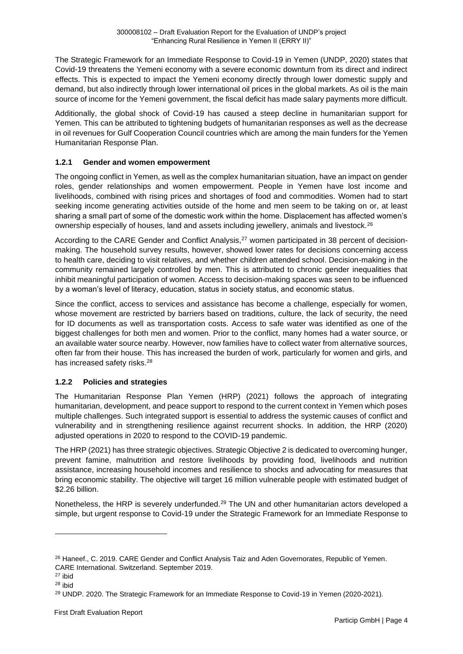The Strategic Framework for an Immediate Response to Covid-19 in Yemen (UNDP, 2020) states that Covid-19 threatens the Yemeni economy with a severe economic downturn from its direct and indirect effects. This is expected to impact the Yemeni economy directly through lower domestic supply and demand, but also indirectly through lower international oil prices in the global markets. As oil is the main source of income for the Yemeni government, the fiscal deficit has made salary payments more difficult.

Additionally, the global shock of Covid-19 has caused a steep decline in humanitarian support for Yemen. This can be attributed to tightening budgets of humanitarian responses as well as the decrease in oil revenues for Gulf Cooperation Council countries which are among the main funders for the Yemen Humanitarian Response Plan.

#### <span id="page-7-0"></span>**1.2.1 Gender and women empowerment**

The ongoing conflict in Yemen, as well as the complex humanitarian situation, have an impact on gender roles, gender relationships and women empowerment. People in Yemen have lost income and livelihoods, combined with rising prices and shortages of food and commodities. Women had to start seeking income generating activities outside of the home and men seem to be taking on or, at least sharing a small part of some of the domestic work within the home. Displacement has affected women's ownership especially of houses, land and assets including jewellery, animals and livestock.<sup>26</sup>

According to the CARE Gender and Conflict Analysis,<sup>27</sup> women participated in 38 percent of decisionmaking. The household survey results, however, showed lower rates for decisions concerning access to health care, deciding to visit relatives, and whether children attended school. Decision-making in the community remained largely controlled by men. This is attributed to chronic gender inequalities that inhibit meaningful participation of women. Access to decision-making spaces was seen to be influenced by a woman's level of literacy, education, status in society status, and economic status.

Since the conflict, access to services and assistance has become a challenge, especially for women, whose movement are restricted by barriers based on traditions, culture, the lack of security, the need for ID documents as well as transportation costs. Access to safe water was identified as one of the biggest challenges for both men and women. Prior to the conflict, many homes had a water source, or an available water source nearby. However, now families have to collect water from alternative sources, often far from their house. This has increased the burden of work, particularly for women and girls, and has increased safety risks.<sup>28</sup>

#### <span id="page-7-1"></span>**1.2.2 Policies and strategies**

The Humanitarian Response Plan Yemen (HRP) (2021) follows the approach of integrating humanitarian, development, and peace support to respond to the current context in Yemen which poses multiple challenges. Such integrated support is essential to address the systemic causes of conflict and vulnerability and in strengthening resilience against recurrent shocks. In addition, the HRP (2020) adjusted operations in 2020 to respond to the COVID-19 pandemic.

The HRP (2021) has three strategic objectives. Strategic Objective 2 is dedicated to overcoming hunger, prevent famine, malnutrition and restore livelihoods by providing food, livelihoods and nutrition assistance, increasing household incomes and resilience to shocks and advocating for measures that bring economic stability. The objective will target 16 million vulnerable people with estimated budget of \$2.26 billion.

Nonetheless, the HRP is severely underfunded.<sup>29</sup> The UN and other humanitarian actors developed a simple, but urgent response to Covid-19 under the Strategic Framework for an Immediate Response to

<sup>&</sup>lt;sup>26</sup> Haneef., C. 2019. CARE Gender and Conflict Analysis Taiz and Aden Governorates, Republic of Yemen. CARE International. Switzerland. September 2019.

<sup>27</sup> ibid

<sup>28</sup> ibid

<sup>&</sup>lt;sup>29</sup> UNDP. 2020. The Strategic Framework for an Immediate Response to Covid-19 in Yemen (2020-2021).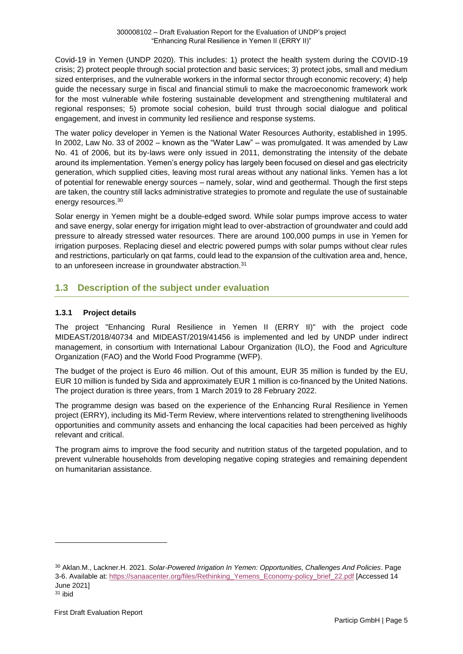Covid-19 in Yemen (UNDP 2020). This includes: 1) protect the health system during the COVID-19 crisis; 2) protect people through social protection and basic services; 3) protect jobs, small and medium sized enterprises, and the vulnerable workers in the informal sector through economic recovery; 4) help guide the necessary surge in fiscal and financial stimuli to make the macroeconomic framework work for the most vulnerable while fostering sustainable development and strengthening multilateral and regional responses; 5) promote social cohesion, build trust through social dialogue and political engagement, and invest in community led resilience and response systems.

The water policy developer in Yemen is the National Water Resources Authority, established in 1995. In 2002, Law No. 33 of 2002 – known as the "Water Law" – was promulgated. It was amended by Law No. 41 of 2006, but its by-laws were only issued in 2011, demonstrating the intensity of the debate around its implementation. Yemen's energy policy has largely been focused on diesel and gas electricity generation, which supplied cities, leaving most rural areas without any national links. Yemen has a lot of potential for renewable energy sources – namely, solar, wind and geothermal. Though the first steps are taken, the country still lacks administrative strategies to promote and regulate the use of sustainable energy resources.<sup>30</sup>

Solar energy in Yemen might be a double-edged sword. While solar pumps improve access to water and save energy, solar energy for irrigation might lead to over-abstraction of groundwater and could add pressure to already stressed water resources. There are around 100,000 pumps in use in Yemen for irrigation purposes. Replacing diesel and electric powered pumps with solar pumps without clear rules and restrictions, particularly on qat farms, could lead to the expansion of the cultivation area and, hence, to an unforeseen increase in groundwater abstraction.<sup>31</sup>

# <span id="page-8-0"></span>**1.3 Description of the subject under evaluation**

#### <span id="page-8-1"></span>**1.3.1 Project details**

The project "Enhancing Rural Resilience in Yemen II (ERRY II)" with the project code MIDEAST/2018/40734 and MIDEAST/2019/41456 is implemented and led by UNDP under indirect management, in consortium with International Labour Organization (ILO), the Food and Agriculture Organization (FAO) and the World Food Programme (WFP).

The budget of the project is Euro 46 million. Out of this amount, EUR 35 million is funded by the EU, EUR 10 million is funded by Sida and approximately EUR 1 million is co-financed by the United Nations. The project duration is three years, from 1 March 2019 to 28 February 2022.

The programme design was based on the experience of the Enhancing Rural Resilience in Yemen project (ERRY), including its Mid-Term Review, where interventions related to strengthening livelihoods opportunities and community assets and enhancing the local capacities had been perceived as highly relevant and critical.

The program aims to improve the food security and nutrition status of the targeted population, and to prevent vulnerable households from developing negative coping strategies and remaining dependent on humanitarian assistance.

<sup>30</sup> Aklan.M., Lackner.H. 2021. *Solar-Powered Irrigation In Yemen: Opportunities, Challenges And Policies*. Page 3-6. Available at[: https://sanaacenter.org/files/Rethinking\\_Yemens\\_Economy-policy\\_brief\\_22.pdf](https://sanaacenter.org/files/Rethinking_Yemens_Economy-policy_brief_22.pdf) [Accessed 14 June 2021]

 $31$  ibid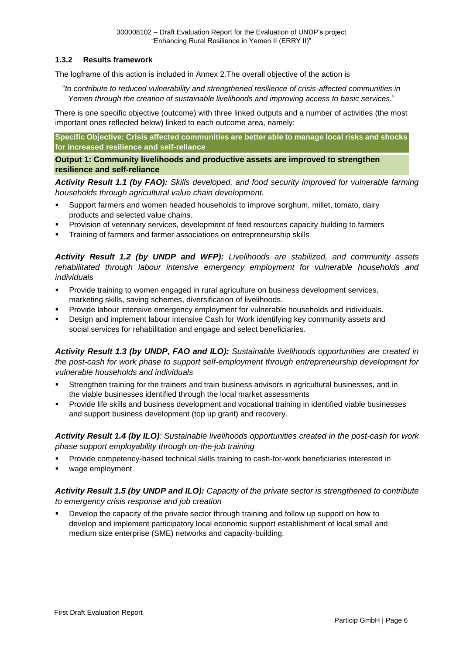#### <span id="page-9-0"></span>**1.3.2 Results framework**

The logframe of this action is included in Annex 2.The overall objective of the action is

"*to contribute to reduced vulnerability and strengthened resilience of crisis-affected communities in Yemen through the creation of sustainable livelihoods and improving access to basic services*."

There is one specific objective (outcome) with three linked outputs and a number of activities (the most important ones reflected below) linked to each outcome area, namely:

**Specific Objective: Crisis affected communities are better able to manage local risks and shocks for increased resilience and self-reliance** 

**Output 1: Community livelihoods and productive assets are improved to strengthen resilience and self-reliance**

*Activity Result 1.1 (by FAO): Skills developed, and food security improved for vulnerable farming households through agricultural value chain development.* 

- Support farmers and women headed households to improve sorghum, millet, tomato, dairy products and selected value chains.
- Provision of veterinary services, development of feed resources capacity building to farmers
- **•** Training of farmers and farmer associations on entrepreneurship skills

*Activity Result 1.2 (by UNDP and WFP): Livelihoods are stabilized, and community assets rehabilitated through labour intensive emergency employment for vulnerable households and individuals*

- Provide training to women engaged in rural agriculture on business development services, marketing skills, saving schemes, diversification of livelihoods.
- Provide labour intensive emergency employment for vulnerable households and individuals.
- Design and implement labour intensive Cash for Work identifying key community assets and social services for rehabilitation and engage and select beneficiaries.

*Activity Result 1.3 (by UNDP, FAO and ILO): Sustainable livelihoods opportunities are created in the post-cash for work phase to support self-employment through entrepreneurship development for vulnerable households and individuals*

- Strengthen training for the trainers and train business advisors in agricultural businesses, and in the viable businesses identified through the local market assessments
- Provide life skills and business development and vocational training in identified viable businesses and support business development (top up grant) and recovery.

*Activity Result 1.4 (by ILO): Sustainable livelihoods opportunities created in the post-cash for work phase support employability through on-the-job training*

- Provide competency-based technical skills training to cash-for-work beneficiaries interested in
- wage employment.

*Activity Result 1.5 (by UNDP and ILO): Capacity of the private sector is strengthened to contribute to emergency crisis response and job creation*

Develop the capacity of the private sector through training and follow up support on how to develop and implement participatory local economic support establishment of local small and medium size enterprise (SME) networks and capacity-building.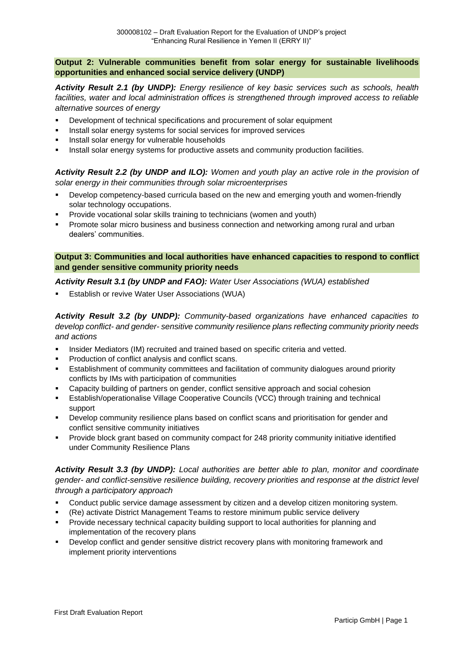**Output 2: Vulnerable communities benefit from solar energy for sustainable livelihoods opportunities and enhanced social service delivery (UNDP)**

*Activity Result 2.1 (by UNDP): Energy resilience of key basic services such as schools, health facilities, water and local administration offices is strengthened through improved access to reliable alternative sources of energy*

- Development of technical specifications and procurement of solar equipment
- Install solar energy systems for social services for improved services
- Install solar energy for vulnerable households
- **•** Install solar energy systems for productive assets and community production facilities.

*Activity Result 2.2 (by UNDP and ILO): Women and youth play an active role in the provision of solar energy in their communities through solar microenterprises*

- Develop competency-based curricula based on the new and emerging youth and women-friendly solar technology occupations.
- Provide vocational solar skills training to technicians (women and youth)
- Promote solar micro business and business connection and networking among rural and urban dealers' communities.

#### **Output 3: Communities and local authorities have enhanced capacities to respond to conflict and gender sensitive community priority needs**

#### *Activity Result 3.1 (by UNDP and FAO): Water User Associations (WUA) established*

**Establish or revive Water User Associations (WUA)** 

*Activity Result 3.2 (by UNDP): Community-based organizations have enhanced capacities to develop conflict- and gender- sensitive community resilience plans reflecting community priority needs and actions* 

- Insider Mediators (IM) recruited and trained based on specific criteria and vetted.
- Production of conflict analysis and conflict scans.
- **Establishment of community committees and facilitation of community dialogues around priority** conflicts by IMs with participation of communities
- Capacity building of partners on gender, conflict sensitive approach and social cohesion
- **Establish/operationalise Village Cooperative Councils (VCC) through training and technical** support
- **•** Develop community resilience plans based on conflict scans and prioritisation for gender and conflict sensitive community initiatives
- Provide block grant based on community compact for 248 priority community initiative identified under Community Resilience Plans

*Activity Result 3.3 (by UNDP): Local authorities are better able to plan, monitor and coordinate gender- and conflict-sensitive resilience building, recovery priorities and response at the district level through a participatory approach*

- **•** Conduct public service damage assessment by citizen and a develop citizen monitoring system.
- (Re) activate District Management Teams to restore minimum public service delivery
- Provide necessary technical capacity building support to local authorities for planning and implementation of the recovery plans
- Develop conflict and gender sensitive district recovery plans with monitoring framework and implement priority interventions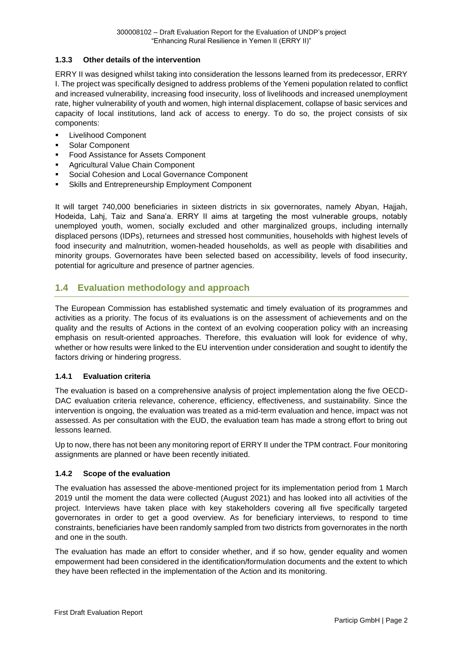#### <span id="page-11-0"></span>**1.3.3 Other details of the intervention**

ERRY II was designed whilst taking into consideration the lessons learned from its predecessor, ERRY I. The project was specifically designed to address problems of the Yemeni population related to conflict and increased vulnerability, increasing food insecurity, loss of livelihoods and increased unemployment rate, higher vulnerability of youth and women, high internal displacement, collapse of basic services and capacity of local institutions, land ack of access to energy. To do so, the project consists of six components:

- **Livelihood Component**
- Solar Component
- **Food Assistance for Assets Component**
- Agricultural Value Chain Component
- Social Cohesion and Local Governance Component
- Skills and Entrepreneurship Employment Component

It will target 740,000 beneficiaries in sixteen districts in six governorates, namely Abyan, Hajjah, Hodeida, Lahj, Taiz and Sana'a. ERRY II aims at targeting the most vulnerable groups, notably unemployed youth, women, socially excluded and other marginalized groups, including internally displaced persons (IDPs), returnees and stressed host communities, households with highest levels of food insecurity and malnutrition, women-headed households, as well as people with disabilities and minority groups. Governorates have been selected based on accessibility, levels of food insecurity, potential for agriculture and presence of partner agencies.

# <span id="page-11-1"></span>**1.4 Evaluation methodology and approach**

The European Commission has established systematic and timely evaluation of its programmes and activities as a priority. The focus of its evaluations is on the assessment of achievements and on the quality and the results of Actions in the context of an evolving cooperation policy with an increasing emphasis on result-oriented approaches. Therefore, this evaluation will look for evidence of why, whether or how results were linked to the EU intervention under consideration and sought to identify the factors driving or hindering progress.

#### <span id="page-11-2"></span>**1.4.1 Evaluation criteria**

The evaluation is based on a comprehensive analysis of project implementation along the five OECD-DAC evaluation criteria relevance, coherence, efficiency, effectiveness, and sustainability. Since the intervention is ongoing, the evaluation was treated as a mid-term evaluation and hence, impact was not assessed. As per consultation with the EUD, the evaluation team has made a strong effort to bring out lessons learned.

Up to now, there has not been any monitoring report of ERRY II under the TPM contract. Four monitoring assignments are planned or have been recently initiated.

#### <span id="page-11-3"></span>**1.4.2 Scope of the evaluation**

The evaluation has assessed the above-mentioned project for its implementation period from 1 March 2019 until the moment the data were collected (August 2021) and has looked into all activities of the project. Interviews have taken place with key stakeholders covering all five specifically targeted governorates in order to get a good overview. As for beneficiary interviews, to respond to time constraints, beneficiaries have been randomly sampled from two districts from governorates in the north and one in the south.

The evaluation has made an effort to consider whether, and if so how, gender equality and women empowerment had been considered in the identification/formulation documents and the extent to which they have been reflected in the implementation of the Action and its monitoring.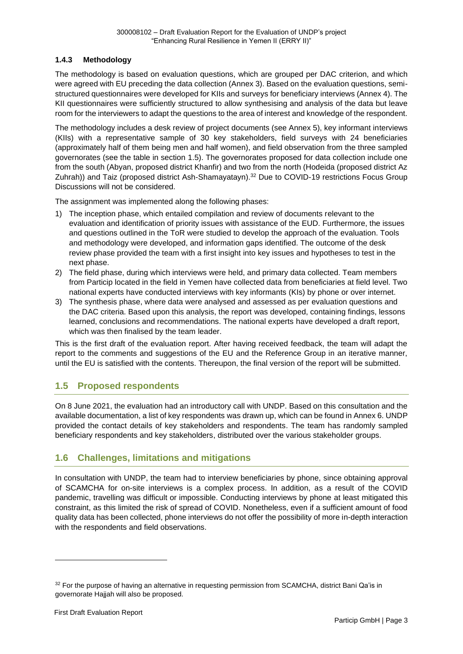#### <span id="page-12-0"></span>**1.4.3 Methodology**

The methodology is based on evaluation questions, which are grouped per DAC criterion, and which were agreed with EU preceding the data collection (Annex 3). Based on the evaluation questions, semistructured questionnaires were developed for KIIs and surveys for beneficiary interviews (Annex 4). The KII questionnaires were sufficiently structured to allow synthesising and analysis of the data but leave room for the interviewers to adapt the questions to the area of interest and knowledge of the respondent.

The methodology includes a desk review of project documents (see Annex 5), key informant interviews (KIIs) with a representative sample of 30 key stakeholders, field surveys with 24 beneficiaries (approximately half of them being men and half women), and field observation from the three sampled governorates (see the table in section [1.5\)](#page-12-1). The governorates proposed for data collection include one from the south (Abyan, proposed district Khanfir) and two from the north (Hodeida (proposed district Az Zuhrah)) and Taiz (proposed district Ash-Shamayatayn).<sup>32</sup> Due to COVID-19 restrictions Focus Group Discussions will not be considered.

The assignment was implemented along the following phases:

- 1) The inception phase, which entailed compilation and review of documents relevant to the evaluation and identification of priority issues with assistance of the EUD. Furthermore, the issues and questions outlined in the ToR were studied to develop the approach of the evaluation. Tools and methodology were developed, and information gaps identified. The outcome of the desk review phase provided the team with a first insight into key issues and hypotheses to test in the next phase.
- 2) The field phase, during which interviews were held, and primary data collected. Team members from Particip located in the field in Yemen have collected data from beneficiaries at field level. Two national experts have conducted interviews with key informants (KIs) by phone or over internet.
- 3) The synthesis phase, where data were analysed and assessed as per evaluation questions and the DAC criteria. Based upon this analysis, the report was developed, containing findings, lessons learned, conclusions and recommendations. The national experts have developed a draft report, which was then finalised by the team leader.

This is the first draft of the evaluation report. After having received feedback, the team will adapt the report to the comments and suggestions of the EU and the Reference Group in an iterative manner, until the EU is satisfied with the contents. Thereupon, the final version of the report will be submitted.

# <span id="page-12-1"></span>**1.5 Proposed respondents**

On 8 June 2021, the evaluation had an introductory call with UNDP. Based on this consultation and the available documentation, a list of key respondents was drawn up, which can be found in Annex 6. UNDP provided the contact details of key stakeholders and respondents. The team has randomly sampled beneficiary respondents and key stakeholders, distributed over the various stakeholder groups.

# <span id="page-12-2"></span>**1.6 Challenges, limitations and mitigations**

In consultation with UNDP, the team had to interview beneficiaries by phone, since obtaining approval of SCAMCHA for on-site interviews is a complex process. In addition, as a result of the COVID pandemic, travelling was difficult or impossible. Conducting interviews by phone at least mitigated this constraint, as this limited the risk of spread of COVID. Nonetheless, even if a sufficient amount of food quality data has been collected, phone interviews do not offer the possibility of more in-depth interaction with the respondents and field observations.

<sup>&</sup>lt;sup>32</sup> For the purpose of having an alternative in requesting permission from SCAMCHA, district Bani Qa'is in governorate Hajjah will also be proposed.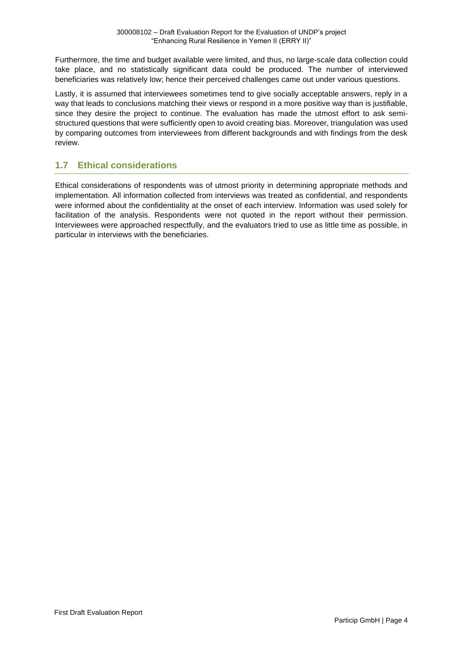Furthermore, the time and budget available were limited, and thus, no large-scale data collection could take place, and no statistically significant data could be produced. The number of interviewed beneficiaries was relatively low; hence their perceived challenges came out under various questions.

Lastly, it is assumed that interviewees sometimes tend to give socially acceptable answers, reply in a way that leads to conclusions matching their views or respond in a more positive way than is justifiable, since they desire the project to continue. The evaluation has made the utmost effort to ask semistructured questions that were sufficiently open to avoid creating bias. Moreover, triangulation was used by comparing outcomes from interviewees from different backgrounds and with findings from the desk review.

# <span id="page-13-0"></span>**1.7 Ethical considerations**

Ethical considerations of respondents was of utmost priority in determining appropriate methods and implementation. All information collected from interviews was treated as confidential, and respondents were informed about the confidentiality at the onset of each interview. Information was used solely for facilitation of the analysis. Respondents were not quoted in the report without their permission. Interviewees were approached respectfully, and the evaluators tried to use as little time as possible, in particular in interviews with the beneficiaries.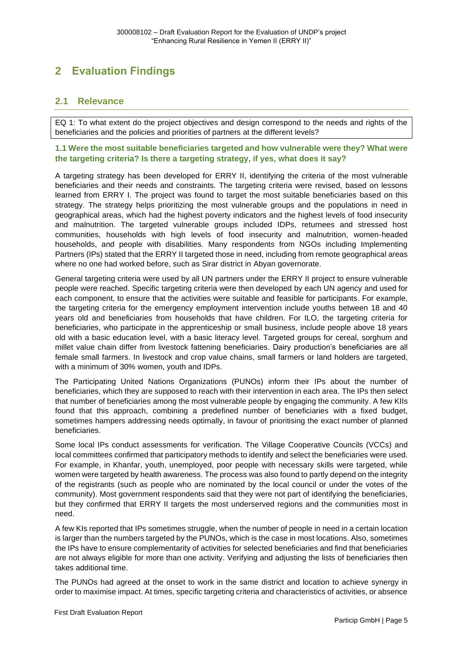# <span id="page-14-0"></span>**2 Evaluation Findings**

### <span id="page-14-1"></span>**2.1 Relevance**

EQ 1: To what extent do the project objectives and design correspond to the needs and rights of the beneficiaries and the policies and priorities of partners at the different levels?

**1.1 Were the most suitable beneficiaries targeted and how vulnerable were they? What were the targeting criteria? Is there a targeting strategy, if yes, what does it say?**

A targeting strategy has been developed for ERRY II, identifying the criteria of the most vulnerable beneficiaries and their needs and constraints. The targeting criteria were revised, based on lessons learned from ERRY I. The project was found to target the most suitable beneficiaries based on this strategy. The strategy helps prioritizing the most vulnerable groups and the populations in need in geographical areas, which had the highest poverty indicators and the highest levels of food insecurity and malnutrition. The targeted vulnerable groups included IDPs, returnees and stressed host communities, households with high levels of food insecurity and malnutrition, women-headed households, and people with disabilities. Many respondents from NGOs including Implementing Partners (IPs) stated that the ERRY II targeted those in need, including from remote geographical areas where no one had worked before, such as Sirar district in Abyan governorate.

General targeting criteria were used by all UN partners under the ERRY II project to ensure vulnerable people were reached. Specific targeting criteria were then developed by each UN agency and used for each component, to ensure that the activities were suitable and feasible for participants. For example, the targeting criteria for the emergency employment intervention include youths between 18 and 40 years old and beneficiaries from households that have children. For ILO, the targeting criteria for beneficiaries, who participate in the apprenticeship or small business, include people above 18 years old with a basic education level, with a basic literacy level. Targeted groups for cereal, sorghum and millet value chain differ from livestock fattening beneficiaries. Dairy production's beneficiaries are all female small farmers. In livestock and crop value chains, small farmers or land holders are targeted, with a minimum of 30% women, youth and IDPs.

The Participating United Nations Organizations (PUNOs) inform their IPs about the number of beneficiaries, which they are supposed to reach with their intervention in each area. The IPs then select that number of beneficiaries among the most vulnerable people by engaging the community. A few KIIs found that this approach, combining a predefined number of beneficiaries with a fixed budget, sometimes hampers addressing needs optimally, in favour of prioritising the exact number of planned beneficiaries.

Some local IPs conduct assessments for verification. The Village Cooperative Councils (VCCs) and local committees confirmed that participatory methods to identify and select the beneficiaries were used. For example, in Khanfar, youth, unemployed, poor people with necessary skills were targeted, while women were targeted by health awareness. The process was also found to partly depend on the integrity of the registrants (such as people who are nominated by the local council or under the votes of the community). Most government respondents said that they were not part of identifying the beneficiaries, but they confirmed that ERRY II targets the most underserved regions and the communities most in need.

A few KIs reported that IPs sometimes struggle, when the number of people in need in a certain location is larger than the numbers targeted by the PUNOs, which is the case in most locations. Also, sometimes the IPs have to ensure complementarity of activities for selected beneficiaries and find that beneficiaries are not always eligible for more than one activity. Verifying and adjusting the lists of beneficiaries then takes additional time.

The PUNOs had agreed at the onset to work in the same district and location to achieve synergy in order to maximise impact. At times, specific targeting criteria and characteristics of activities, or absence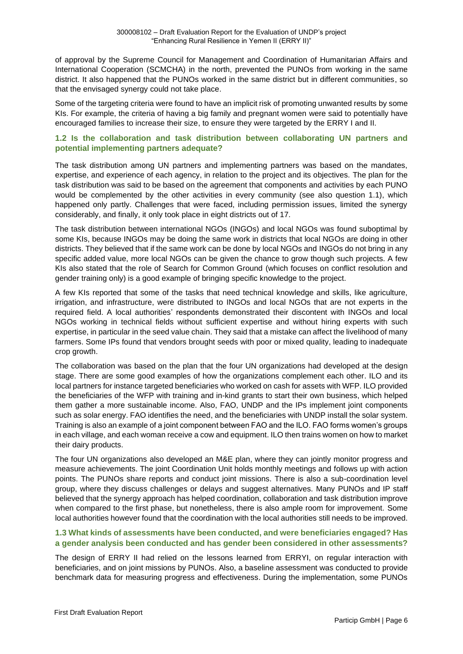of approval by the Supreme Council for Management and Coordination of Humanitarian Affairs and International Cooperation (SCMCHA) in the north, prevented the PUNOs from working in the same district. It also happened that the PUNOs worked in the same district but in different communities, so that the envisaged synergy could not take place.

Some of the targeting criteria were found to have an implicit risk of promoting unwanted results by some KIs. For example, the criteria of having a big family and pregnant women were said to potentially have encouraged families to increase their size, to ensure they were targeted by the ERRY I and II.

#### **1.2 Is the collaboration and task distribution between collaborating UN partners and potential implementing partners adequate?**

The task distribution among UN partners and implementing partners was based on the mandates, expertise, and experience of each agency, in relation to the project and its objectives. The plan for the task distribution was said to be based on the agreement that components and activities by each PUNO would be complemented by the other activities in every community (see also question 1.1), which happened only partly. Challenges that were faced, including permission issues, limited the synergy considerably, and finally, it only took place in eight districts out of 17.

The task distribution between international NGOs (INGOs) and local NGOs was found suboptimal by some KIs, because INGOs may be doing the same work in districts that local NGOs are doing in other districts. They believed that if the same work can be done by local NGOs and INGOs do not bring in any specific added value, more local NGOs can be given the chance to grow though such projects. A few KIs also stated that the role of Search for Common Ground (which focuses on conflict resolution and gender training only) is a good example of bringing specific knowledge to the project.

A few KIs reported that some of the tasks that need technical knowledge and skills, like agriculture, irrigation, and infrastructure, were distributed to INGOs and local NGOs that are not experts in the required field. A local authorities' respondents demonstrated their discontent with INGOs and local NGOs working in technical fields without sufficient expertise and without hiring experts with such expertise, in particular in the seed value chain. They said that a mistake can affect the livelihood of many farmers. Some IPs found that vendors brought seeds with poor or mixed quality, leading to inadequate crop growth.

The collaboration was based on the plan that the four UN organizations had developed at the design stage. There are some good examples of how the organizations complement each other. ILO and its local partners for instance targeted beneficiaries who worked on cash for assets with WFP. ILO provided the beneficiaries of the WFP with training and in-kind grants to start their own business, which helped them gather a more sustainable income. Also, FAO, UNDP and the IPs implement joint components such as solar energy. FAO identifies the need, and the beneficiaries with UNDP install the solar system. Training is also an example of a joint component between FAO and the ILO. FAO forms women's groups in each village, and each woman receive a cow and equipment. ILO then trains women on how to market their dairy products.

The four UN organizations also developed an M&E plan, where they can jointly monitor progress and measure achievements. The joint Coordination Unit holds monthly meetings and follows up with action points. The PUNOs share reports and conduct joint missions. There is also a sub-coordination level group, where they discuss challenges or delays and suggest alternatives. Many PUNOs and IP staff believed that the synergy approach has helped coordination, collaboration and task distribution improve when compared to the first phase, but nonetheless, there is also ample room for improvement. Some local authorities however found that the coordination with the local authorities still needs to be improved.

#### **1.3 What kinds of assessments have been conducted, and were beneficiaries engaged? Has a gender analysis been conducted and has gender been considered in other assessments?**

The design of ERRY II had relied on the lessons learned from ERRYI, on regular interaction with beneficiaries, and on joint missions by PUNOs. Also, a baseline assessment was conducted to provide benchmark data for measuring progress and effectiveness. During the implementation, some PUNOs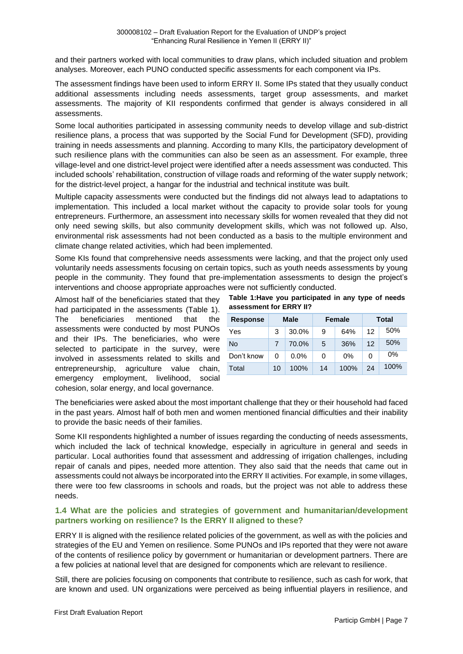and their partners worked with local communities to draw plans, which included situation and problem analyses. Moreover, each PUNO conducted specific assessments for each component via IPs.

The assessment findings have been used to inform ERRY II. Some IPs stated that they usually conduct additional assessments including needs assessments, target group assessments, and market assessments. The majority of KII respondents confirmed that gender is always considered in all assessments.

Some local authorities participated in assessing community needs to develop village and sub-district resilience plans, a process that was supported by the Social Fund for Development (SFD), providing training in needs assessments and planning. According to many KIIs, the participatory development of such resilience plans with the communities can also be seen as an assessment. For example, three village-level and one district-level project were identified after a needs assessment was conducted. This included schools' rehabilitation, construction of village roads and reforming of the water supply network; for the district-level project, a hangar for the industrial and technical institute was built.

Multiple capacity assessments were conducted but the findings did not always lead to adaptations to implementation. This included a local market without the capacity to provide solar tools for young entrepreneurs. Furthermore, an assessment into necessary skills for women revealed that they did not only need sewing skills, but also community development skills, which was not followed up. Also, environmental risk assessments had not been conducted as a basis to the multiple environment and climate change related activities, which had been implemented.

Some KIs found that comprehensive needs assessments were lacking, and that the project only used voluntarily needs assessments focusing on certain topics, such as youth needs assessments by young people in the community. They found that pre-implementation assessments to design the project's interventions and choose appropriate approaches were not sufficiently conducted.

Almost half of the beneficiaries stated that they had participated in the assessments (Table 1). The beneficiaries mentioned that the assessments were conducted by most PUNOs and their IPs. The beneficiaries, who were selected to participate in the survey, were involved in assessments related to skills and entrepreneurship, agriculture value chain, emergency employment, livelihood, social cohesion, solar energy, and local governance.

**Table 1:Have you participated in any type of needs assessment for ERRY II?**

| <b>Response</b> | <b>Male</b> |         |    | <b>Female</b> | <b>Total</b> |       |  |
|-----------------|-------------|---------|----|---------------|--------------|-------|--|
| Yes             | 3           | 30.0%   | 9  | 64%           | 12           | 50%   |  |
| <b>No</b>       |             | 70.0%   | 5  | 36%           | 12           | 50%   |  |
| Don't know      | 0           | $0.0\%$ | 0  | 0%            | 0            | $0\%$ |  |
| Total           | 10          | 100%    | 14 | 100%          | 24           | 100%  |  |

The beneficiaries were asked about the most important challenge that they or their household had faced in the past years. Almost half of both men and women mentioned financial difficulties and their inability to provide the basic needs of their families.

Some KII respondents highlighted a number of issues regarding the conducting of needs assessments, which included the lack of technical knowledge, especially in agriculture in general and seeds in particular. Local authorities found that assessment and addressing of irrigation challenges, including repair of canals and pipes, needed more attention. They also said that the needs that came out in assessments could not always be incorporated into the ERRY II activities. For example, in some villages, there were too few classrooms in schools and roads, but the project was not able to address these needs.

#### **1.4 What are the policies and strategies of government and humanitarian/development partners working on resilience? Is the ERRY II aligned to these?**

ERRY II is aligned with the resilience related policies of the government, as well as with the policies and strategies of the EU and Yemen on resilience. Some PUNOs and IPs reported that they were not aware of the contents of resilience policy by government or humanitarian or development partners. There are a few policies at national level that are designed for components which are relevant to resilience.

Still, there are policies focusing on components that contribute to resilience, such as cash for work, that are known and used. UN organizations were perceived as being influential players in resilience, and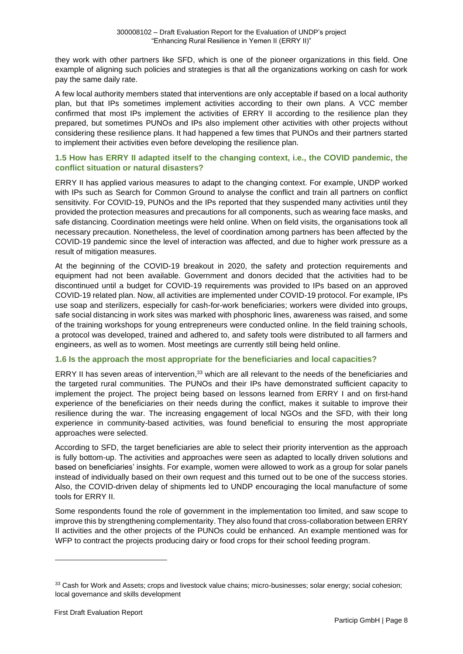they work with other partners like SFD, which is one of the pioneer organizations in this field. One example of aligning such policies and strategies is that all the organizations working on cash for work pay the same daily rate.

A few local authority members stated that interventions are only acceptable if based on a local authority plan, but that IPs sometimes implement activities according to their own plans. A VCC member confirmed that most IPs implement the activities of ERRY II according to the resilience plan they prepared, but sometimes PUNOs and IPs also implement other activities with other projects without considering these resilience plans. It had happened a few times that PUNOs and their partners started to implement their activities even before developing the resilience plan.

#### **1.5 How has ERRY II adapted itself to the changing context, i.e., the COVID pandemic, the conflict situation or natural disasters?**

ERRY II has applied various measures to adapt to the changing context. For example, UNDP worked with IPs such as Search for Common Ground to analyse the conflict and train all partners on conflict sensitivity. For COVID-19, PUNOs and the IPs reported that they suspended many activities until they provided the protection measures and precautions for all components, such as wearing face masks, and safe distancing. Coordination meetings were held online. When on field visits, the organisations took all necessary precaution. Nonetheless, the level of coordination among partners has been affected by the COVID-19 pandemic since the level of interaction was affected, and due to higher work pressure as a result of mitigation measures.

At the beginning of the COVID-19 breakout in 2020, the safety and protection requirements and equipment had not been available. Government and donors decided that the activities had to be discontinued until a budget for COVID-19 requirements was provided to IPs based on an approved COVID-19 related plan. Now, all activities are implemented under COVID-19 protocol. For example, IPs use soap and sterilizers, especially for cash-for-work beneficiaries; workers were divided into groups, safe social distancing in work sites was marked with phosphoric lines, awareness was raised, and some of the training workshops for young entrepreneurs were conducted online. In the field training schools, a protocol was developed, trained and adhered to, and safety tools were distributed to all farmers and engineers, as well as to women. Most meetings are currently still being held online.

#### **1.6 Is the approach the most appropriate for the beneficiaries and local capacities?**

ERRY II has seven areas of intervention,<sup>33</sup> which are all relevant to the needs of the beneficiaries and the targeted rural communities. The PUNOs and their IPs have demonstrated sufficient capacity to implement the project. The project being based on lessons learned from ERRY I and on first-hand experience of the beneficiaries on their needs during the conflict, makes it suitable to improve their resilience during the war. The increasing engagement of local NGOs and the SFD, with their long experience in community-based activities, was found beneficial to ensuring the most appropriate approaches were selected.

According to SFD, the target beneficiaries are able to select their priority intervention as the approach is fully bottom-up. The activities and approaches were seen as adapted to locally driven solutions and based on beneficiaries' insights. For example, women were allowed to work as a group for solar panels instead of individually based on their own request and this turned out to be one of the success stories. Also, the COVID-driven delay of shipments led to UNDP encouraging the local manufacture of some tools for ERRY II.

Some respondents found the role of government in the implementation too limited, and saw scope to improve this by strengthening complementarity. They also found that cross-collaboration between ERRY II activities and the other projects of the PUNOs could be enhanced. An example mentioned was for WFP to contract the projects producing dairy or food crops for their school feeding program.

<sup>33</sup> Cash for Work and Assets; crops and livestock value chains; micro-businesses; solar energy; social cohesion; local governance and skills development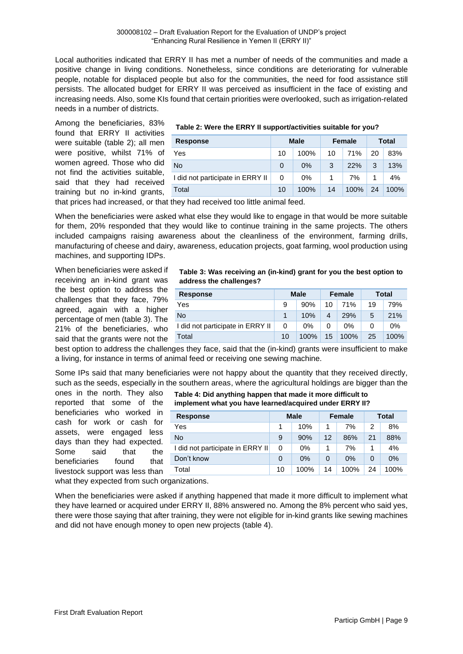Local authorities indicated that ERRY II has met a number of needs of the communities and made a positive change in living conditions. Nonetheless, since conditions are deteriorating for vulnerable people, notable for displaced people but also for the communities, the need for food assistance still persists. The allocated budget for ERRY II was perceived as insufficient in the face of existing and increasing needs. Also, some KIs found that certain priorities were overlooked, such as irrigation-related needs in a number of districts.

Among the beneficiaries, 83% found that ERRY II activities were suitable (table 2); all men were positive, whilst 71% of women agreed. Those who did not find the activities suitable, said that they had received training but no in-kind grants,

#### **Table 2: Were the ERRY II support/activities suitable for you?**

| <b>Response</b>                  | <b>Male</b> |       | <b>Female</b> |         | Total |      |
|----------------------------------|-------------|-------|---------------|---------|-------|------|
| Yes                              | 10          | 100%  | 10            | 71%     | 20    | 83%  |
| <b>No</b>                        | 0           | $0\%$ | 3             | 22%     | 3     | 13%  |
| I did not participate in ERRY II | 0           | $0\%$ |               | 7%      |       | 4%   |
| Total                            | 10          | 100%  | 14            | $100\%$ | 24    | 100% |

that prices had increased, or that they had received too little animal feed.

When the beneficiaries were asked what else they would like to engage in that would be more suitable for them, 20% responded that they would like to continue training in the same projects. The others included campaigns raising awareness about the cleanliness of the environment, farming drills, manufacturing of cheese and dairy, awareness, education projects, goat farming, wool production using machines, and supporting IDPs.

When beneficiaries were asked if receiving an in-kind grant was the best option to address the challenges that they face, 79% agreed, again with a higher percentage of men (table 3). The 21% of the beneficiaries, who said that the grants were not the

#### **Table 3: Was receiving an (in-kind) grant for you the best option to address the challenges?**

| <b>Response</b>                  | Male |       | Female |       | Total |      |
|----------------------------------|------|-------|--------|-------|-------|------|
| Yes                              | 9    | 90%   | 10     | 71%   | 19    | 79%  |
| No                               |      | 10%   | 4      | 29%   | 5     | 21%  |
| I did not participate in ERRY II | 0    | $0\%$ | 0      | $0\%$ |       | 0%   |
| Total                            | 10   | 100%  | 15     | 100%  | 25    | 100% |

best option to address the challenges they face, said that the (in-kind) grants were insufficient to make a living, for instance in terms of animal feed or receiving one sewing machine.

Some IPs said that many beneficiaries were not happy about the quantity that they received directly, such as the seeds, especially in the southern areas, where the agricultural holdings are bigger than the

ones in the north. They also reported that some of the beneficiaries who worked in cash for work or cash for assets, were engaged less days than they had expected. Some said that the beneficiaries found that livestock support was less than

| Table 4: Did anything happen that made it more difficult to |
|-------------------------------------------------------------|
| implement what you have learned/acquired under ERRY II?     |

| <b>Response</b>                  | <b>Male</b> |       | <b>Female</b> |      | <b>Total</b> |       |
|----------------------------------|-------------|-------|---------------|------|--------------|-------|
| Yes                              |             | 10%   |               | 7%   | 2            | 8%    |
| <b>No</b>                        | 9           | 90%   | 12            | 86%  | 21           | 88%   |
| I did not participate in ERRY II | 0           | $0\%$ |               | 7%   |              | 4%    |
| Don't know                       | $\Omega$    | 0%    | 0             | 0%   | 0            | $0\%$ |
| Total                            | 10          | 100%  | 14            | 100% | 24           | 100%  |

what they expected from such organizations.

When the beneficiaries were asked if anything happened that made it more difficult to implement what they have learned or acquired under ERRY II, 88% answered no. Among the 8% percent who said yes, there were those saying that after training, they were not eligible for in-kind grants like sewing machines and did not have enough money to open new projects (table 4).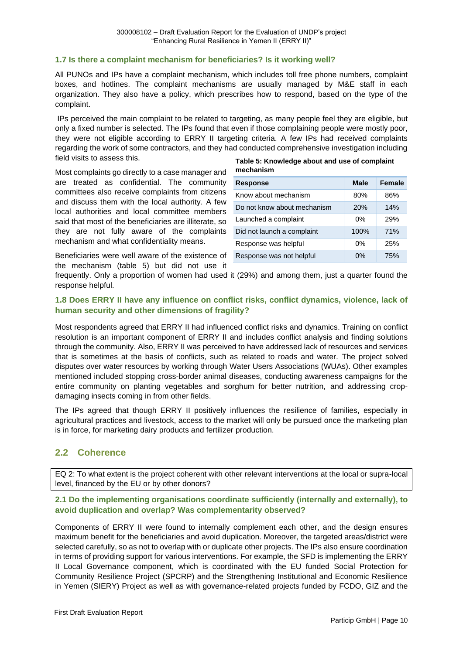#### **1.7 Is there a complaint mechanism for beneficiaries? Is it working well?**

All PUNOs and IPs have a complaint mechanism, which includes toll free phone numbers, complaint boxes, and hotlines. The complaint mechanisms are usually managed by M&E staff in each organization. They also have a policy, which prescribes how to respond, based on the type of the complaint.

IPs perceived the main complaint to be related to targeting, as many people feel they are eligible, but only a fixed number is selected. The IPs found that even if those complaining people were mostly poor, they were not eligible according to ERRY II targeting criteria. A few IPs had received complaints regarding the work of some contractors, and they had conducted comprehensive investigation including field visits to assess this.

Most complaints go directly to a case manager and are treated as confidential. The community committees also receive complaints from citizens and discuss them with the local authority. A few local authorities and local committee members said that most of the beneficiaries are illiterate, so they are not fully aware of the complaints mechanism and what confidentiality means.

Beneficiaries were well aware of the existence of the mechanism (table 5) but did not use it

#### **Table 5: Knowledge about and use of complaint mechanism**

| <b>Response</b>             | Male  | <b>Female</b> |
|-----------------------------|-------|---------------|
| Know about mechanism        | 80%   | 86%           |
| Do not know about mechanism | 20%   | 14%           |
| Launched a complaint        | 0%    | 29%           |
| Did not launch a complaint  | 100%  | 71%           |
| Response was helpful        | 0%    | 25%           |
| Response was not helpful    | $0\%$ | 75%           |

frequently. Only a proportion of women had used it (29%) and among them, just a quarter found the response helpful.

#### **1.8 Does ERRY II have any influence on conflict risks, conflict dynamics, violence, lack of human security and other dimensions of fragility?**

Most respondents agreed that ERRY II had influenced conflict risks and dynamics. Training on conflict resolution is an important component of ERRY II and includes conflict analysis and finding solutions through the community. Also, ERRY II was perceived to have addressed lack of resources and services that is sometimes at the basis of conflicts, such as related to roads and water. The project solved disputes over water resources by working through Water Users Associations (WUAs). Other examples mentioned included stopping cross-border animal diseases, conducting awareness campaigns for the entire community on planting vegetables and sorghum for better nutrition, and addressing cropdamaging insects coming in from other fields.

The IPs agreed that though ERRY II positively influences the resilience of families, especially in agricultural practices and livestock, access to the market will only be pursued once the marketing plan is in force, for marketing dairy products and fertilizer production.

# <span id="page-19-0"></span>**2.2 Coherence**

EQ 2: To what extent is the project coherent with other relevant interventions at the local or supra-local level, financed by the EU or by other donors?

#### **2.1 Do the implementing organisations coordinate sufficiently (internally and externally), to avoid duplication and overlap? Was complementarity observed?**

Components of ERRY II were found to internally complement each other, and the design ensures maximum benefit for the beneficiaries and avoid duplication. Moreover, the targeted areas/district were selected carefully, so as not to overlap with or duplicate other projects. The IPs also ensure coordination in terms of providing support for various interventions. For example, the SFD is implementing the ERRY II Local Governance component, which is coordinated with the EU funded Social Protection for Community Resilience Project (SPCRP) and the Strengthening Institutional and Economic Resilience in Yemen (SIERY) Project as well as with governance-related projects funded by FCDO, GIZ and the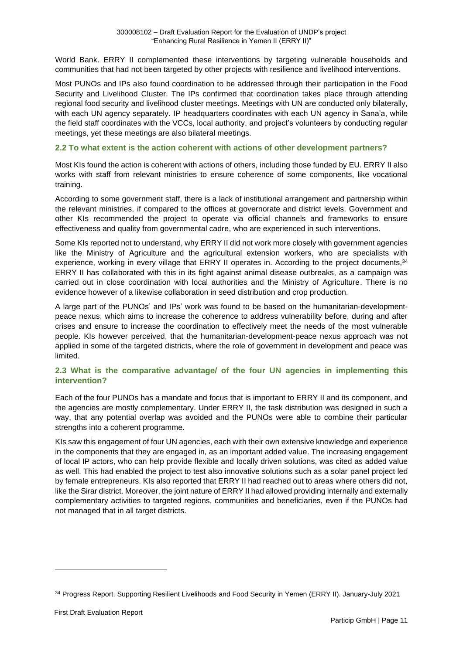World Bank. ERRY II complemented these interventions by targeting vulnerable households and communities that had not been targeted by other projects with resilience and livelihood interventions.

Most PUNOs and IPs also found coordination to be addressed through their participation in the Food Security and Livelihood Cluster. The IPs confirmed that coordination takes place through attending regional food security and livelihood cluster meetings. Meetings with UN are conducted only bilaterally, with each UN agency separately. IP headquarters coordinates with each UN agency in Sana'a, while the field staff coordinates with the VCCs, local authority, and project's volunteers by conducting regular meetings, yet these meetings are also bilateral meetings.

#### **2.2 To what extent is the action coherent with actions of other development partners?**

Most KIs found the action is coherent with actions of others, including those funded by EU. ERRY II also works with staff from relevant ministries to ensure coherence of some components, like vocational training.

According to some government staff, there is a lack of institutional arrangement and partnership within the relevant ministries, if compared to the offices at governorate and district levels. Government and other KIs recommended the project to operate via official channels and frameworks to ensure effectiveness and quality from governmental cadre, who are experienced in such interventions.

Some KIs reported not to understand, why ERRY II did not work more closely with government agencies like the Ministry of Agriculture and the agricultural extension workers, who are specialists with experience, working in every village that ERRY II operates in. According to the project documents, 34 ERRY II has collaborated with this in its fight against animal disease outbreaks, as a campaign was carried out in close coordination with local authorities and the Ministry of Agriculture. There is no evidence however of a likewise collaboration in seed distribution and crop production.

A large part of the PUNOs' and IPs' work was found to be based on the humanitarian-developmentpeace nexus, which aims to increase the coherence to address vulnerability before, during and after crises and ensure to increase the coordination to effectively meet the needs of the most vulnerable people. KIs however perceived, that the humanitarian-development-peace nexus approach was not applied in some of the targeted districts, where the role of government in development and peace was limited.

#### **2.3 What is the comparative advantage/ of the four UN agencies in implementing this intervention?**

Each of the four PUNOs has a mandate and focus that is important to ERRY II and its component, and the agencies are mostly complementary. Under ERRY II, the task distribution was designed in such a way, that any potential overlap was avoided and the PUNOs were able to combine their particular strengths into a coherent programme.

KIs saw this engagement of four UN agencies, each with their own extensive knowledge and experience in the components that they are engaged in, as an important added value. The increasing engagement of local IP actors, who can help provide flexible and locally driven solutions, was cited as added value as well. This had enabled the project to test also innovative solutions such as a solar panel project led by female entrepreneurs. KIs also reported that ERRY II had reached out to areas where others did not, like the Sirar district. Moreover, the joint nature of ERRY II had allowed providing internally and externally complementary activities to targeted regions, communities and beneficiaries, even if the PUNOs had not managed that in all target districts.

<sup>34</sup> Progress Report. Supporting Resilient Livelihoods and Food Security in Yemen (ERRY II). January-July 2021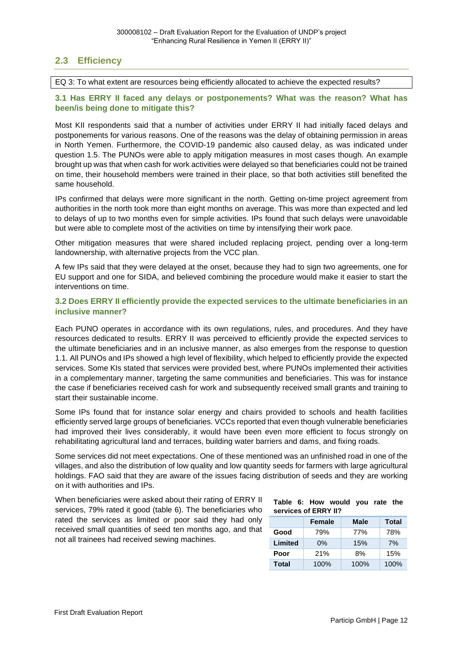# <span id="page-21-0"></span>**2.3 Efficiency**

EQ 3: To what extent are resources being efficiently allocated to achieve the expected results?

#### **3.1 Has ERRY II faced any delays or postponements? What was the reason? What has been/is being done to mitigate this?**

Most KII respondents said that a number of activities under ERRY II had initially faced delays and postponements for various reasons. One of the reasons was the delay of obtaining permission in areas in North Yemen. Furthermore, the COVID-19 pandemic also caused delay, as was indicated under question 1.5. The PUNOs were able to apply mitigation measures in most cases though. An example brought up was that when cash for work activities were delayed so that beneficiaries could not be trained on time, their household members were trained in their place, so that both activities still benefited the same household.

IPs confirmed that delays were more significant in the north. Getting on-time project agreement from authorities in the north took more than eight months on average. This was more than expected and led to delays of up to two months even for simple activities. IPs found that such delays were unavoidable but were able to complete most of the activities on time by intensifying their work pace.

Other mitigation measures that were shared included replacing project, pending over a long-term landownership, with alternative projects from the VCC plan.

A few IPs said that they were delayed at the onset, because they had to sign two agreements, one for EU support and one for SIDA, and believed combining the procedure would make it easier to start the interventions on time.

#### **3.2 Does ERRY II efficiently provide the expected services to the ultimate beneficiaries in an inclusive manner?**

Each PUNO operates in accordance with its own regulations, rules, and procedures. And they have resources dedicated to results. ERRY II was perceived to efficiently provide the expected services to the ultimate beneficiaries and in an inclusive manner, as also emerges from the response to question 1.1. All PUNOs and IPs showed a high level of flexibility, which helped to efficiently provide the expected services. Some KIs stated that services were provided best, where PUNOs implemented their activities in a complementary manner, targeting the same communities and beneficiaries. This was for instance the case if beneficiaries received cash for work and subsequently received small grants and training to start their sustainable income.

Some IPs found that for instance solar energy and chairs provided to schools and health facilities efficiently served large groups of beneficiaries. VCCs reported that even though vulnerable beneficiaries had improved their lives considerably, it would have been even more efficient to focus strongly on rehabilitating agricultural land and terraces, building water barriers and dams, and fixing roads.

Some services did not meet expectations. One of these mentioned was an unfinished road in one of the villages, and also the distribution of low quality and low quantity seeds for farmers with large agricultural holdings. FAO said that they are aware of the issues facing distribution of seeds and they are working on it with authorities and IPs.

When beneficiaries were asked about their rating of ERRY II services, 79% rated it good (table 6). The beneficiaries who rated the services as limited or poor said they had only received small quantities of seed ten months ago, and that not all trainees had received sewing machines.

#### **Table 6: How would you rate the services of ERRY II?**

|         | <b>Female</b> | <b>Male</b> | <b>Total</b> |
|---------|---------------|-------------|--------------|
| Good    | 79%           | 77%         | 78%          |
| Limited | $0\%$         | 15%         | 7%           |
| Poor    | 21%           | 8%          | 15%          |
| Total   | 100%          | 100%        | 100%         |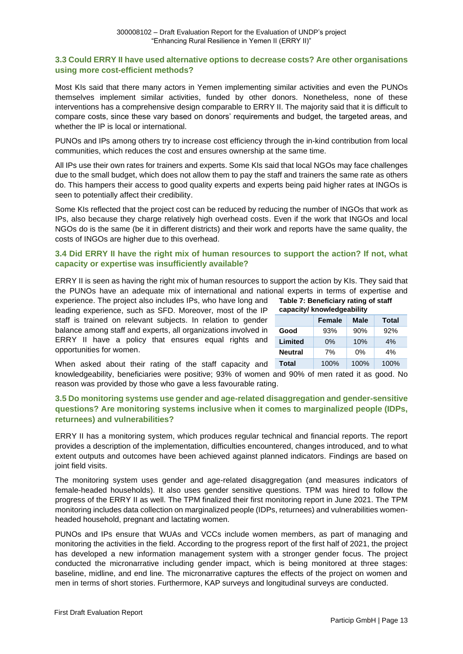#### **3.3 Could ERRY II have used alternative options to decrease costs? Are other organisations using more cost-efficient methods?**

Most KIs said that there many actors in Yemen implementing similar activities and even the PUNOs themselves implement similar activities, funded by other donors. Nonetheless, none of these interventions has a comprehensive design comparable to ERRY II. The majority said that it is difficult to compare costs, since these vary based on donors' requirements and budget, the targeted areas, and whether the IP is local or international.

PUNOs and IPs among others try to increase cost efficiency through the in-kind contribution from local communities, which reduces the cost and ensures ownership at the same time.

All IPs use their own rates for trainers and experts. Some KIs said that local NGOs may face challenges due to the small budget, which does not allow them to pay the staff and trainers the same rate as others do. This hampers their access to good quality experts and experts being paid higher rates at INGOs is seen to potentially affect their credibility.

Some KIs reflected that the project cost can be reduced by reducing the number of INGOs that work as IPs, also because they charge relatively high overhead costs. Even if the work that INGOs and local NGOs do is the same (be it in different districts) and their work and reports have the same quality, the costs of INGOs are higher due to this overhead.

#### **3.4 Did ERRY II have the right mix of human resources to support the action? If not, what capacity or expertise was insufficiently available?**

ERRY II is seen as having the right mix of human resources to support the action by KIs. They said that the PUNOs have an adequate mix of international and national experts in terms of expertise and

experience. The project also includes IPs, who have long and leading experience, such as SFD. Moreover, most of the IP staff is trained on relevant subjects. In relation to gender balance among staff and experts, all organizations involved in ERRY II have a policy that ensures equal rights and opportunities for women.

| Table 7: Beneficiary rating of staff<br>capacity/ knowledgeability |     |     |     |  |  |  |  |
|--------------------------------------------------------------------|-----|-----|-----|--|--|--|--|
| <b>Male</b><br><b>Total</b><br><b>Female</b>                       |     |     |     |  |  |  |  |
| Good                                                               | 93% | 90% | 92% |  |  |  |  |
| Limited                                                            | 0%  | 10% | 4%  |  |  |  |  |
| <b>Neutral</b><br>7%<br>4%<br>0%                                   |     |     |     |  |  |  |  |
| <b>Total</b><br>100%<br>100%<br>100%                               |     |     |     |  |  |  |  |

When asked about their rating of the staff capacity and knowledgeability, beneficiaries were positive; 93% of women and 90% of men rated it as good. No reason was provided by those who gave a less favourable rating.

#### **3.5 Do monitoring systems use gender and age-related disaggregation and gender-sensitive questions? Are monitoring systems inclusive when it comes to marginalized people (IDPs, returnees) and vulnerabilities?**

ERRY II has a monitoring system, which produces regular technical and financial reports. The report provides a description of the implementation, difficulties encountered, changes introduced, and to what extent outputs and outcomes have been achieved against planned indicators. Findings are based on joint field visits.

The monitoring system uses gender and age-related disaggregation (and measures indicators of female-headed households). It also uses gender sensitive questions. TPM was hired to follow the progress of the ERRY II as well. The TPM finalized their first monitoring report in June 2021. The TPM monitoring includes data collection on marginalized people (IDPs, returnees) and vulnerabilities womenheaded household, pregnant and lactating women.

PUNOs and IPs ensure that WUAs and VCCs include women members, as part of managing and monitoring the activities in the field. According to the progress report of the first half of 2021, the project has developed a new information management system with a stronger gender focus. The project conducted the micronarrative including gender impact, which is being monitored at three stages: baseline, midline, and end line. The micronarrative captures the effects of the project on women and men in terms of short stories. Furthermore, KAP surveys and longitudinal surveys are conducted.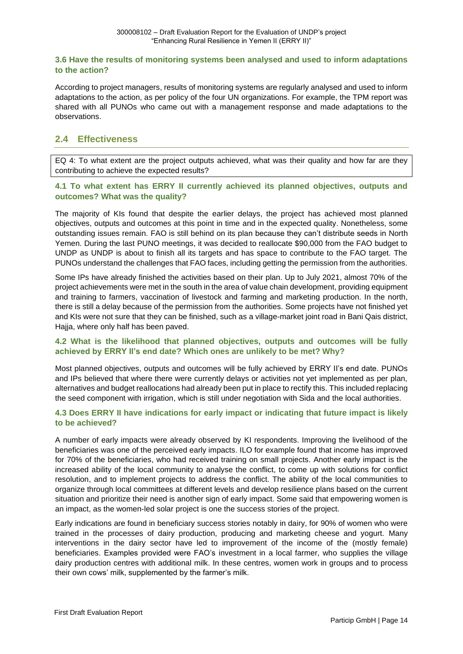#### **3.6 Have the results of monitoring systems been analysed and used to inform adaptations to the action?**

According to project managers, results of monitoring systems are regularly analysed and used to inform adaptations to the action, as per policy of the four UN organizations. For example, the TPM report was shared with all PUNOs who came out with a management response and made adaptations to the observations.

# <span id="page-23-0"></span>**2.4 Effectiveness**

EQ 4: To what extent are the project outputs achieved, what was their quality and how far are they contributing to achieve the expected results?

#### **4.1 To what extent has ERRY II currently achieved its planned objectives, outputs and outcomes? What was the quality?**

The majority of KIs found that despite the earlier delays, the project has achieved most planned objectives, outputs and outcomes at this point in time and in the expected quality. Nonetheless, some outstanding issues remain. FAO is still behind on its plan because they can't distribute seeds in North Yemen. During the last PUNO meetings, it was decided to reallocate \$90,000 from the FAO budget to UNDP as UNDP is about to finish all its targets and has space to contribute to the FAO target. The PUNOs understand the challenges that FAO faces, including getting the permission from the authorities.

Some IPs have already finished the activities based on their plan. Up to July 2021, almost 70% of the project achievements were met in the south in the area of value chain development, providing equipment and training to farmers, vaccination of livestock and farming and marketing production. In the north, there is still a delay because of the permission from the authorities. Some projects have not finished yet and KIs were not sure that they can be finished, such as a village-market joint road in Bani Qais district, Hajja, where only half has been paved.

#### **4.2 What is the likelihood that planned objectives, outputs and outcomes will be fully achieved by ERRY II's end date? Which ones are unlikely to be met? Why?**

Most planned objectives, outputs and outcomes will be fully achieved by ERRY II's end date. PUNOs and IPs believed that where there were currently delays or activities not yet implemented as per plan, alternatives and budget reallocations had already been put in place to rectify this. This included replacing the seed component with irrigation, which is still under negotiation with Sida and the local authorities.

#### **4.3 Does ERRY II have indications for early impact or indicating that future impact is likely to be achieved?**

A number of early impacts were already observed by KI respondents. Improving the livelihood of the beneficiaries was one of the perceived early impacts. ILO for example found that income has improved for 70% of the beneficiaries, who had received training on small projects. Another early impact is the increased ability of the local community to analyse the conflict, to come up with solutions for conflict resolution, and to implement projects to address the conflict. The ability of the local communities to organize through local committees at different levels and develop resilience plans based on the current situation and prioritize their need is another sign of early impact. Some said that empowering women is an impact, as the women-led solar project is one the success stories of the project.

Early indications are found in beneficiary success stories notably in dairy, for 90% of women who were trained in the processes of dairy production, producing and marketing cheese and yogurt. Many interventions in the dairy sector have led to improvement of the income of the (mostly female) beneficiaries. Examples provided were FAO's investment in a local farmer, who supplies the village dairy production centres with additional milk. In these centres, women work in groups and to process their own cows' milk, supplemented by the farmer's milk.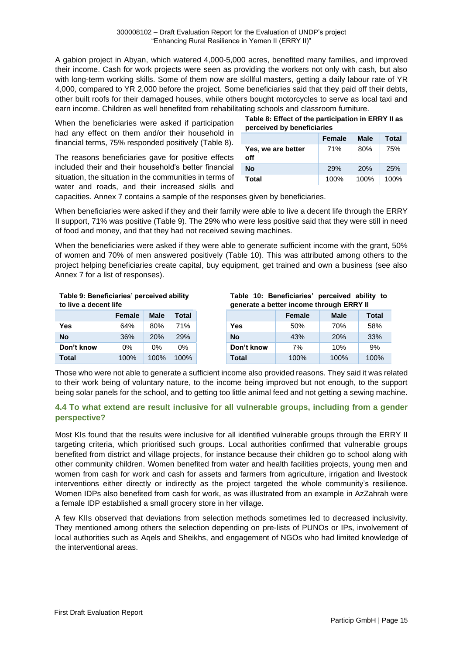A gabion project in Abyan, which watered 4,000-5,000 acres, benefited many families, and improved their income. Cash for work projects were seen as providing the workers not only with cash, but also with long-term working skills. Some of them now are skillful masters, getting a daily labour rate of YR 4,000, compared to YR 2,000 before the project. Some beneficiaries said that they paid off their debts, other built roofs for their damaged houses, while others bought motorcycles to serve as local taxi and earn income. Children as well benefited from rehabilitating schools and classroom furniture.

When the beneficiaries were asked if participation had any effect on them and/or their household in financial terms, 75% responded positively (Table 8).

The reasons beneficiaries gave for positive effects included their and their household's better financial situation, the situation in the communities in terms of water and roads, and their increased skills and

| Table 8: Effect of the participation in ERRY II as |
|----------------------------------------------------|
| perceived by beneficiaries                         |

|                           | <b>Female</b> | <b>Male</b> | Total |
|---------------------------|---------------|-------------|-------|
| Yes, we are better<br>off | 71%           | 80%         | 75%   |
| <b>No</b>                 | 29%           | <b>20%</b>  | 25%   |
| Total                     | 100%          | 100%        | 100%  |

capacities. Annex 7 contains a sample of the responses given by beneficiaries.

When beneficiaries were asked if they and their family were able to live a decent life through the ERRY II support, 71% was positive (Table 9). The 29% who were less positive said that they were still in need of food and money, and that they had not received sewing machines.

When the beneficiaries were asked if they were able to generate sufficient income with the grant, 50% of women and 70% of men answered positively (Table 10). This was attributed among others to the project helping beneficiaries create capital, buy equipment, get trained and own a business (see also Annex 7 for a list of responses).

**Table 9: Beneficiaries' perceived ability to live a decent life**

|            | <b>Female</b> | Male | Total |
|------------|---------------|------|-------|
| Yes        | 64%           | 80%  | 71%   |
| Nο         | 36%           | 20%  | 29%   |
| Don't know | $0\%$         | 0%   | $0\%$ |
| Total      | 100%          | 100% | 100%  |

|  | Table 10: Beneficiaries' perceived ability to |  |  |
|--|-----------------------------------------------|--|--|
|  | generate a better income through ERRY II      |  |  |

|            | <b>Female</b> | <b>Male</b> | Total |            | Female | <b>Male</b> |
|------------|---------------|-------------|-------|------------|--------|-------------|
| Yes        | 64%           | 80%         | 71%   | <b>Yes</b> | 50%    | 70%         |
| <b>No</b>  | 36%           | 20%         | 29%   | No         | 43%    | 20%         |
| Don't know | 0%            | 0%          | 0%    | Don't know | 7%     | 10%         |
| Total      | 100%          | 100%        | 100%  | Total      | 100%   | 100%        |

Those who were not able to generate a sufficient income also provided reasons. They said it was related to their work being of voluntary nature, to the income being improved but not enough, to the support being solar panels for the school, and to getting too little animal feed and not getting a sewing machine.

#### **4.4 To what extend are result inclusive for all vulnerable groups, including from a gender perspective?**

Most KIs found that the results were inclusive for all identified vulnerable groups through the ERRY II targeting criteria, which prioritised such groups. Local authorities confirmed that vulnerable groups benefited from district and village projects, for instance because their children go to school along with other community children. Women benefited from water and health facilities projects, young men and women from cash for work and cash for assets and farmers from agriculture, irrigation and livestock interventions either directly or indirectly as the project targeted the whole community's resilience. Women IDPs also benefited from cash for work, as was illustrated from an example in AzZahrah were a female IDP established a small grocery store in her village.

A few KIIs observed that deviations from selection methods sometimes led to decreased inclusivity. They mentioned among others the selection depending on pre-lists of PUNOs or IPs, involvement of local authorities such as Aqels and Sheikhs, and engagement of NGOs who had limited knowledge of the interventional areas.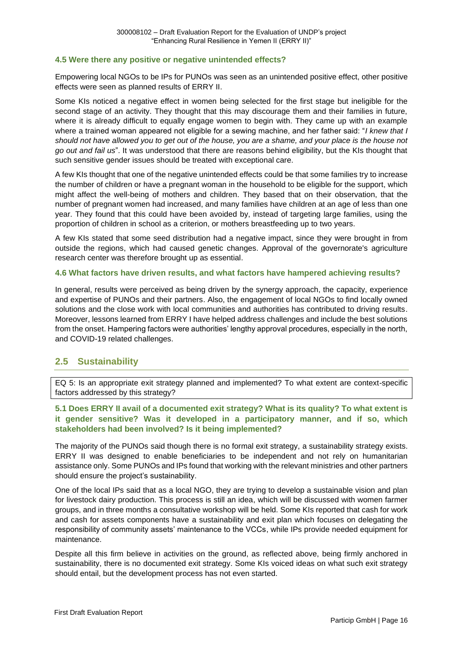#### **4.5 Were there any positive or negative unintended effects?**

Empowering local NGOs to be IPs for PUNOs was seen as an unintended positive effect, other positive effects were seen as planned results of ERRY II.

Some KIs noticed a negative effect in women being selected for the first stage but ineligible for the second stage of an activity. They thought that this may discourage them and their families in future, where it is already difficult to equally engage women to begin with. They came up with an example where a trained woman appeared not eligible for a sewing machine, and her father said: "*I knew that I should not have allowed you to get out of the house, you are a shame, and your place is the house not go out and fail us*". It was understood that there are reasons behind eligibility, but the KIs thought that such sensitive gender issues should be treated with exceptional care.

A few KIs thought that one of the negative unintended effects could be that some families try to increase the number of children or have a pregnant woman in the household to be eligible for the support, which might affect the well-being of mothers and children. They based that on their observation, that the number of pregnant women had increased, and many families have children at an age of less than one year. They found that this could have been avoided by, instead of targeting large families, using the proportion of children in school as a criterion, or mothers breastfeeding up to two years.

A few KIs stated that some seed distribution had a negative impact, since they were brought in from outside the regions, which had caused genetic changes. Approval of the governorate's agriculture research center was therefore brought up as essential.

#### **4.6 What factors have driven results, and what factors have hampered achieving results?**

In general, results were perceived as being driven by the synergy approach, the capacity, experience and expertise of PUNOs and their partners. Also, the engagement of local NGOs to find locally owned solutions and the close work with local communities and authorities has contributed to driving results. Moreover, lessons learned from ERRY I have helped address challenges and include the best solutions from the onset. Hampering factors were authorities' lengthy approval procedures, especially in the north, and COVID-19 related challenges.

#### <span id="page-25-0"></span>**2.5 Sustainability**

EQ 5: Is an appropriate exit strategy planned and implemented? To what extent are context-specific factors addressed by this strategy?

#### **5.1 Does ERRY II avail of a documented exit strategy? What is its quality? To what extent is it gender sensitive? Was it developed in a participatory manner, and if so, which stakeholders had been involved? Is it being implemented?**

The majority of the PUNOs said though there is no formal exit strategy, a sustainability strategy exists. ERRY II was designed to enable beneficiaries to be independent and not rely on humanitarian assistance only. Some PUNOs and IPs found that working with the relevant ministries and other partners should ensure the project's sustainability.

One of the local IPs said that as a local NGO, they are trying to develop a sustainable vision and plan for livestock dairy production. This process is still an idea, which will be discussed with women farmer groups, and in three months a consultative workshop will be held. Some KIs reported that cash for work and cash for assets components have a sustainability and exit plan which focuses on delegating the responsibility of community assets' maintenance to the VCCs, while IPs provide needed equipment for maintenance.

Despite all this firm believe in activities on the ground, as reflected above, being firmly anchored in sustainability, there is no documented exit strategy. Some KIs voiced ideas on what such exit strategy should entail, but the development process has not even started.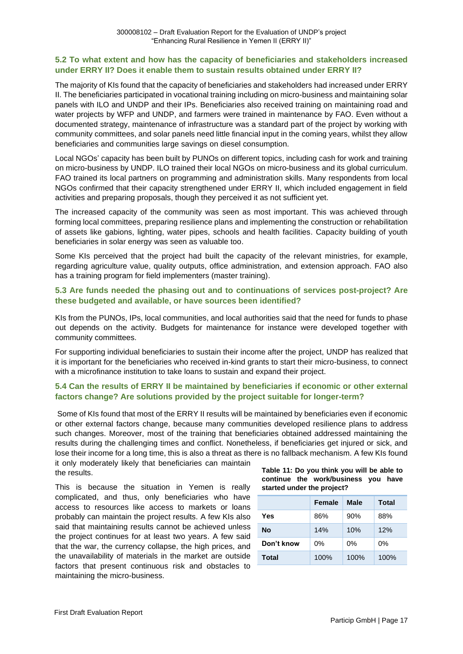#### **5.2 To what extent and how has the capacity of beneficiaries and stakeholders increased under ERRY II? Does it enable them to sustain results obtained under ERRY II?**

The majority of KIs found that the capacity of beneficiaries and stakeholders had increased under ERRY II. The beneficiaries participated in vocational training including on micro-business and maintaining solar panels with ILO and UNDP and their IPs. Beneficiaries also received training on maintaining road and water projects by WFP and UNDP, and farmers were trained in maintenance by FAO. Even without a documented strategy, maintenance of infrastructure was a standard part of the project by working with community committees, and solar panels need little financial input in the coming years, whilst they allow beneficiaries and communities large savings on diesel consumption.

Local NGOs' capacity has been built by PUNOs on different topics, including cash for work and training on micro-business by UNDP. ILO trained their local NGOs on micro-business and its global curriculum. FAO trained its local partners on programming and administration skills. Many respondents from local NGOs confirmed that their capacity strengthened under ERRY II, which included engagement in field activities and preparing proposals, though they perceived it as not sufficient yet.

The increased capacity of the community was seen as most important. This was achieved through forming local committees, preparing resilience plans and implementing the construction or rehabilitation of assets like gabions, lighting, water pipes, schools and health facilities. Capacity building of youth beneficiaries in solar energy was seen as valuable too.

Some KIs perceived that the project had built the capacity of the relevant ministries, for example, regarding agriculture value, quality outputs, office administration, and extension approach. FAO also has a training program for field implementers (master training).

#### **5.3 Are funds needed the phasing out and to continuations of services post-project? Are these budgeted and available, or have sources been identified?**

KIs from the PUNOs, IPs, local communities, and local authorities said that the need for funds to phase out depends on the activity. Budgets for maintenance for instance were developed together with community committees.

For supporting individual beneficiaries to sustain their income after the project, UNDP has realized that it is important for the beneficiaries who received in-kind grants to start their micro-business, to connect with a microfinance institution to take loans to sustain and expand their project.

#### **5.4 Can the results of ERRY II be maintained by beneficiaries if economic or other external factors change? Are solutions provided by the project suitable for longer-term?**

Some of KIs found that most of the ERRY II results will be maintained by beneficiaries even if economic or other external factors change, because many communities developed resilience plans to address such changes. Moreover, most of the training that beneficiaries obtained addressed maintaining the results during the challenging times and conflict. Nonetheless, if beneficiaries get injured or sick, and lose their income for a long time, this is also a threat as there is no fallback mechanism. A few KIs found it only moderately likely that beneficiaries can maintain

the results.

This is because the situation in Yemen is really complicated, and thus, only beneficiaries who have access to resources like access to markets or loans probably can maintain the project results. A few KIs also said that maintaining results cannot be achieved unless the project continues for at least two years. A few said that the war, the currency collapse, the high prices, and the unavailability of materials in the market are outside factors that present continuous risk and obstacles to maintaining the micro-business.

|  | Table 11: Do you think you will be able to |  |
|--|--------------------------------------------|--|
|  | continue the work/business you have        |  |
|  | started under the project?                 |  |

|            | <b>Female</b> | Male  | <b>Total</b> |
|------------|---------------|-------|--------------|
| Yes        | 86%           | 90%   | 88%          |
| <b>No</b>  | 14%           | 10%   | 12%          |
| Don't know | 0%            | $0\%$ | 0%           |
| Total      | 100%          | 100%  | 100%         |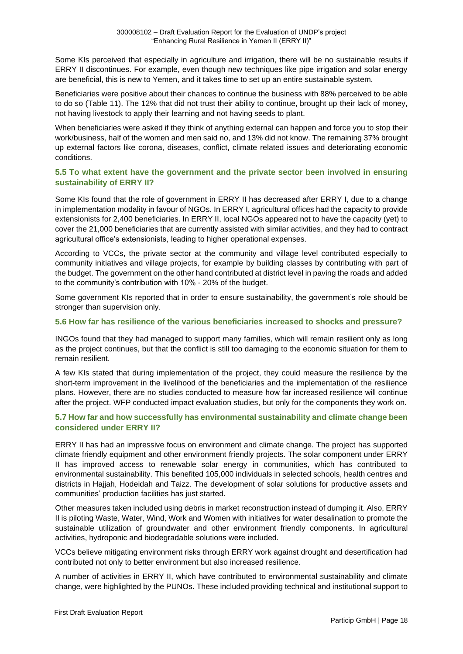Some KIs perceived that especially in agriculture and irrigation, there will be no sustainable results if ERRY II discontinues. For example, even though new techniques like pipe irrigation and solar energy are beneficial, this is new to Yemen, and it takes time to set up an entire sustainable system.

Beneficiaries were positive about their chances to continue the business with 88% perceived to be able to do so (Table 11). The 12% that did not trust their ability to continue, brought up their lack of money, not having livestock to apply their learning and not having seeds to plant.

When beneficiaries were asked if they think of anything external can happen and force you to stop their work/business, half of the women and men said no, and 13% did not know. The remaining 37% brought up external factors like corona, diseases, conflict, climate related issues and deteriorating economic conditions.

#### **5.5 To what extent have the government and the private sector been involved in ensuring sustainability of ERRY II?**

Some KIs found that the role of government in ERRY II has decreased after ERRY I, due to a change in implementation modality in favour of NGOs. In ERRY I, agricultural offices had the capacity to provide extensionists for 2,400 beneficiaries. In ERRY II, local NGOs appeared not to have the capacity (yet) to cover the 21,000 beneficiaries that are currently assisted with similar activities, and they had to contract agricultural office's extensionists, leading to higher operational expenses.

According to VCCs, the private sector at the community and village level contributed especially to community initiatives and village projects, for example by building classes by contributing with part of the budget. The government on the other hand contributed at district level in paving the roads and added to the community's contribution with 10% - 20% of the budget.

Some government KIs reported that in order to ensure sustainability, the government's role should be stronger than supervision only.

#### **5.6 How far has resilience of the various beneficiaries increased to shocks and pressure?**

INGOs found that they had managed to support many families, which will remain resilient only as long as the project continues, but that the conflict is still too damaging to the economic situation for them to remain resilient.

A few KIs stated that during implementation of the project, they could measure the resilience by the short-term improvement in the livelihood of the beneficiaries and the implementation of the resilience plans. However, there are no studies conducted to measure how far increased resilience will continue after the project. WFP conducted impact evaluation studies, but only for the components they work on.

#### **5.7 How far and how successfully has environmental sustainability and climate change been considered under ERRY II?**

ERRY II has had an impressive focus on environment and climate change. The project has supported climate friendly equipment and other environment friendly projects. The solar component under ERRY II has improved access to renewable solar energy in communities, which has contributed to environmental sustainability. This benefited 105,000 individuals in selected schools, health centres and districts in Hajjah, Hodeidah and Taizz. The development of solar solutions for productive assets and communities' production facilities has just started.

Other measures taken included using debris in market reconstruction instead of dumping it. Also, ERRY II is piloting Waste, Water, Wind, Work and Women with initiatives for water desalination to promote the sustainable utilization of groundwater and other environment friendly components. In agricultural activities, hydroponic and biodegradable solutions were included.

VCCs believe mitigating environment risks through ERRY work against drought and desertification had contributed not only to better environment but also increased resilience.

A number of activities in ERRY II, which have contributed to environmental sustainability and climate change, were highlighted by the PUNOs. These included providing technical and institutional support to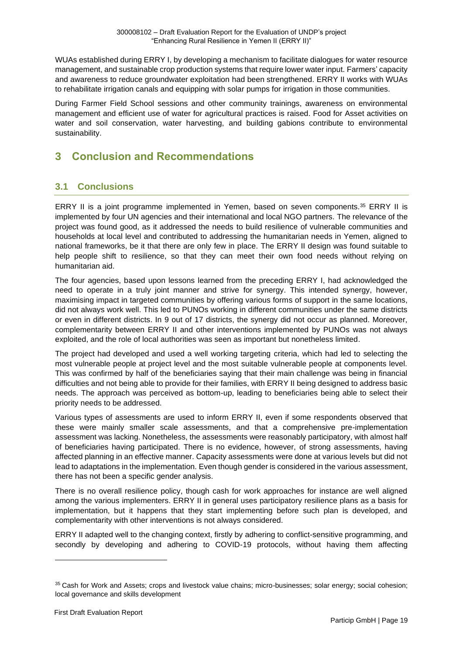WUAs established during ERRY I, by developing a mechanism to facilitate dialogues for water resource management, and sustainable crop production systems that require lower water input. Farmers' capacity and awareness to reduce groundwater exploitation had been strengthened. ERRY II works with WUAs to rehabilitate irrigation canals and equipping with solar pumps for irrigation in those communities.

During Farmer Field School sessions and other community trainings, awareness on environmental management and efficient use of water for agricultural practices is raised. Food for Asset activities on water and soil conservation, water harvesting, and building gabions contribute to environmental sustainability.

# <span id="page-28-0"></span>**3 Conclusion and Recommendations**

# <span id="page-28-1"></span>**3.1 Conclusions**

ERRY II is a joint programme implemented in Yemen, based on seven components.<sup>35</sup> ERRY II is implemented by four UN agencies and their international and local NGO partners. The relevance of the project was found good, as it addressed the needs to build resilience of vulnerable communities and households at local level and contributed to addressing the humanitarian needs in Yemen, aligned to national frameworks, be it that there are only few in place. The ERRY II design was found suitable to help people shift to resilience, so that they can meet their own food needs without relying on humanitarian aid.

The four agencies, based upon lessons learned from the preceding ERRY I, had acknowledged the need to operate in a truly joint manner and strive for synergy. This intended synergy, however, maximising impact in targeted communities by offering various forms of support in the same locations, did not always work well. This led to PUNOs working in different communities under the same districts or even in different districts. In 9 out of 17 districts, the synergy did not occur as planned. Moreover, complementarity between ERRY II and other interventions implemented by PUNOs was not always exploited, and the role of local authorities was seen as important but nonetheless limited.

The project had developed and used a well working targeting criteria, which had led to selecting the most vulnerable people at project level and the most suitable vulnerable people at components level. This was confirmed by half of the beneficiaries saying that their main challenge was being in financial difficulties and not being able to provide for their families, with ERRY II being designed to address basic needs. The approach was perceived as bottom-up, leading to beneficiaries being able to select their priority needs to be addressed.

Various types of assessments are used to inform ERRY II, even if some respondents observed that these were mainly smaller scale assessments, and that a comprehensive pre-implementation assessment was lacking. Nonetheless, the assessments were reasonably participatory, with almost half of beneficiaries having participated. There is no evidence, however, of strong assessments, having affected planning in an effective manner. Capacity assessments were done at various levels but did not lead to adaptations in the implementation. Even though gender is considered in the various assessment, there has not been a specific gender analysis.

There is no overall resilience policy, though cash for work approaches for instance are well aligned among the various implementers. ERRY II in general uses participatory resilience plans as a basis for implementation, but it happens that they start implementing before such plan is developed, and complementarity with other interventions is not always considered.

ERRY II adapted well to the changing context, firstly by adhering to conflict-sensitive programming, and secondly by developing and adhering to COVID-19 protocols, without having them affecting

<sup>35</sup> Cash for Work and Assets; crops and livestock value chains; micro-businesses; solar energy; social cohesion; local governance and skills development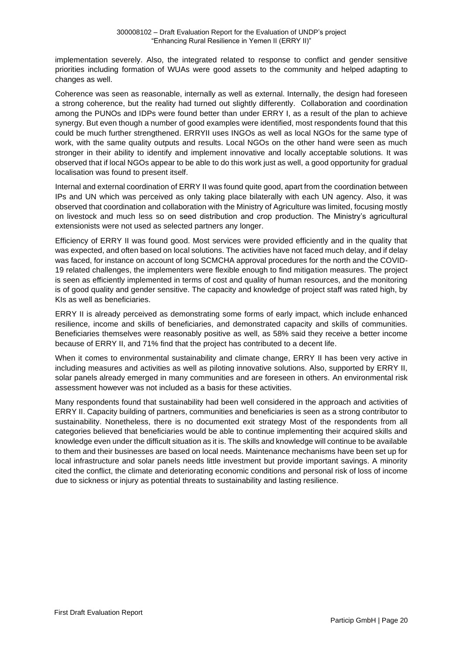implementation severely. Also, the integrated related to response to conflict and gender sensitive priorities including formation of WUAs were good assets to the community and helped adapting to changes as well.

Coherence was seen as reasonable, internally as well as external. Internally, the design had foreseen a strong coherence, but the reality had turned out slightly differently. Collaboration and coordination among the PUNOs and IDPs were found better than under ERRY I, as a result of the plan to achieve synergy. But even though a number of good examples were identified, most respondents found that this could be much further strengthened. ERRYII uses INGOs as well as local NGOs for the same type of work, with the same quality outputs and results. Local NGOs on the other hand were seen as much stronger in their ability to identify and implement innovative and locally acceptable solutions. It was observed that if local NGOs appear to be able to do this work just as well, a good opportunity for gradual localisation was found to present itself.

Internal and external coordination of ERRY II was found quite good, apart from the coordination between IPs and UN which was perceived as only taking place bilaterally with each UN agency. Also, it was observed that coordination and collaboration with the Ministry of Agriculture was limited, focusing mostly on livestock and much less so on seed distribution and crop production. The Ministry's agricultural extensionists were not used as selected partners any longer.

Efficiency of ERRY II was found good. Most services were provided efficiently and in the quality that was expected, and often based on local solutions. The activities have not faced much delay, and if delay was faced, for instance on account of long SCMCHA approval procedures for the north and the COVID-19 related challenges, the implementers were flexible enough to find mitigation measures. The project is seen as efficiently implemented in terms of cost and quality of human resources, and the monitoring is of good quality and gender sensitive. The capacity and knowledge of project staff was rated high, by KIs as well as beneficiaries.

ERRY II is already perceived as demonstrating some forms of early impact, which include enhanced resilience, income and skills of beneficiaries, and demonstrated capacity and skills of communities. Beneficiaries themselves were reasonably positive as well, as 58% said they receive a better income because of ERRY II, and 71% find that the project has contributed to a decent life.

When it comes to environmental sustainability and climate change, ERRY II has been very active in including measures and activities as well as piloting innovative solutions. Also, supported by ERRY II, solar panels already emerged in many communities and are foreseen in others. An environmental risk assessment however was not included as a basis for these activities.

Many respondents found that sustainability had been well considered in the approach and activities of ERRY II. Capacity building of partners, communities and beneficiaries is seen as a strong contributor to sustainability. Nonetheless, there is no documented exit strategy Most of the respondents from all categories believed that beneficiaries would be able to continue implementing their acquired skills and knowledge even under the difficult situation as it is. The skills and knowledge will continue to be available to them and their businesses are based on local needs. Maintenance mechanisms have been set up for local infrastructure and solar panels needs little investment but provide important savings. A minority cited the conflict, the climate and deteriorating economic conditions and personal risk of loss of income due to sickness or injury as potential threats to sustainability and lasting resilience.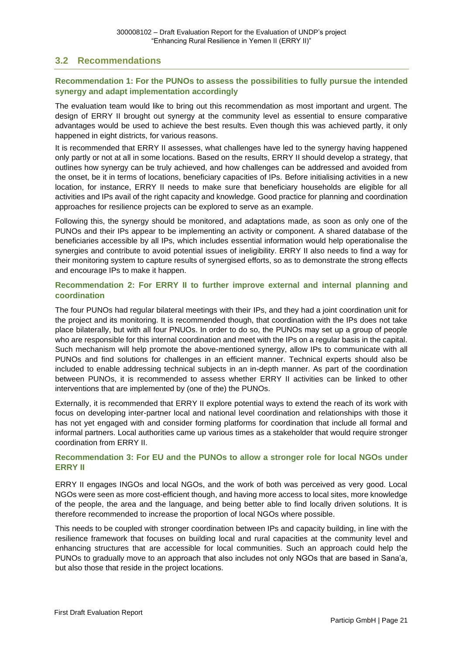### <span id="page-30-0"></span>**3.2 Recommendations**

#### **Recommendation 1: For the PUNOs to assess the possibilities to fully pursue the intended synergy and adapt implementation accordingly**

The evaluation team would like to bring out this recommendation as most important and urgent. The design of ERRY II brought out synergy at the community level as essential to ensure comparative advantages would be used to achieve the best results. Even though this was achieved partly, it only happened in eight districts, for various reasons.

It is recommended that ERRY II assesses, what challenges have led to the synergy having happened only partly or not at all in some locations. Based on the results, ERRY II should develop a strategy, that outlines how synergy can be truly achieved, and how challenges can be addressed and avoided from the onset, be it in terms of locations, beneficiary capacities of IPs. Before initialising activities in a new location, for instance, ERRY II needs to make sure that beneficiary households are eligible for all activities and IPs avail of the right capacity and knowledge. Good practice for planning and coordination approaches for resilience projects can be explored to serve as an example.

Following this, the synergy should be monitored, and adaptations made, as soon as only one of the PUNOs and their IPs appear to be implementing an activity or component. A shared database of the beneficiaries accessible by all IPs, which includes essential information would help operationalise the synergies and contribute to avoid potential issues of ineligibility. ERRY II also needs to find a way for their monitoring system to capture results of synergised efforts, so as to demonstrate the strong effects and encourage IPs to make it happen.

#### **Recommendation 2: For ERRY II to further improve external and internal planning and coordination**

The four PUNOs had regular bilateral meetings with their IPs, and they had a joint coordination unit for the project and its monitoring. It is recommended though, that coordination with the IPs does not take place bilaterally, but with all four PNUOs. In order to do so, the PUNOs may set up a group of people who are responsible for this internal coordination and meet with the IPs on a regular basis in the capital. Such mechanism will help promote the above-mentioned synergy, allow IPs to communicate with all PUNOs and find solutions for challenges in an efficient manner. Technical experts should also be included to enable addressing technical subjects in an in-depth manner. As part of the coordination between PUNOs, it is recommended to assess whether ERRY II activities can be linked to other interventions that are implemented by (one of the) the PUNOs.

Externally, it is recommended that ERRY II explore potential ways to extend the reach of its work with focus on developing inter-partner local and national level coordination and relationships with those it has not yet engaged with and consider forming platforms for coordination that include all formal and informal partners. Local authorities came up various times as a stakeholder that would require stronger coordination from ERRY II.

#### **Recommendation 3: For EU and the PUNOs to allow a stronger role for local NGOs under ERRY II**

ERRY II engages INGOs and local NGOs, and the work of both was perceived as very good. Local NGOs were seen as more cost-efficient though, and having more access to local sites, more knowledge of the people, the area and the language, and being better able to find locally driven solutions. It is therefore recommended to increase the proportion of local NGOs where possible.

This needs to be coupled with stronger coordination between IPs and capacity building, in line with the resilience framework that focuses on building local and rural capacities at the community level and enhancing structures that are accessible for local communities. Such an approach could help the PUNOs to gradually move to an approach that also includes not only NGOs that are based in Sana'a, but also those that reside in the project locations.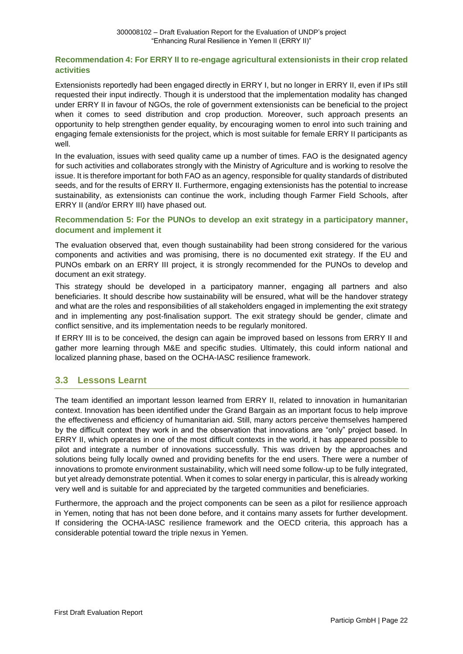#### **Recommendation 4: For ERRY II to re-engage agricultural extensionists in their crop related activities**

Extensionists reportedly had been engaged directly in ERRY I, but no longer in ERRY II, even if IPs still requested their input indirectly. Though it is understood that the implementation modality has changed under ERRY II in favour of NGOs, the role of government extensionists can be beneficial to the project when it comes to seed distribution and crop production. Moreover, such approach presents an opportunity to help strengthen gender equality, by encouraging women to enrol into such training and engaging female extensionists for the project, which is most suitable for female ERRY II participants as well.

In the evaluation, issues with seed quality came up a number of times. FAO is the designated agency for such activities and collaborates strongly with the Ministry of Agriculture and is working to resolve the issue. It is therefore important for both FAO as an agency, responsible for quality standards of distributed seeds, and for the results of ERRY II. Furthermore, engaging extensionists has the potential to increase sustainability, as extensionists can continue the work, including though Farmer Field Schools, after ERRY II (and/or ERRY III) have phased out.

#### **Recommendation 5: For the PUNOs to develop an exit strategy in a participatory manner, document and implement it**

The evaluation observed that, even though sustainability had been strong considered for the various components and activities and was promising, there is no documented exit strategy. If the EU and PUNOs embark on an ERRY III project, it is strongly recommended for the PUNOs to develop and document an exit strategy.

This strategy should be developed in a participatory manner, engaging all partners and also beneficiaries. It should describe how sustainability will be ensured, what will be the handover strategy and what are the roles and responsibilities of all stakeholders engaged in implementing the exit strategy and in implementing any post-finalisation support. The exit strategy should be gender, climate and conflict sensitive, and its implementation needs to be regularly monitored.

If ERRY III is to be conceived, the design can again be improved based on lessons from ERRY II and gather more learning through M&E and specific studies. Ultimately, this could inform national and localized planning phase, based on the OCHA-IASC resilience framework.

# <span id="page-31-0"></span>**3.3 Lessons Learnt**

The team identified an important lesson learned from ERRY II, related to innovation in humanitarian context. Innovation has been identified under the Grand Bargain as an important focus to help improve the effectiveness and efficiency of humanitarian aid. Still, many actors perceive themselves hampered by the difficult context they work in and the observation that innovations are "only" project based. In ERRY II, which operates in one of the most difficult contexts in the world, it has appeared possible to pilot and integrate a number of innovations successfully. This was driven by the approaches and solutions being fully locally owned and providing benefits for the end users. There were a number of innovations to promote environment sustainability, which will need some follow-up to be fully integrated, but yet already demonstrate potential. When it comes to solar energy in particular, this is already working very well and is suitable for and appreciated by the targeted communities and beneficiaries.

Furthermore, the approach and the project components can be seen as a pilot for resilience approach in Yemen, noting that has not been done before, and it contains many assets for further development. If considering the OCHA-IASC resilience framework and the OECD criteria, this approach has a considerable potential toward the triple nexus in Yemen.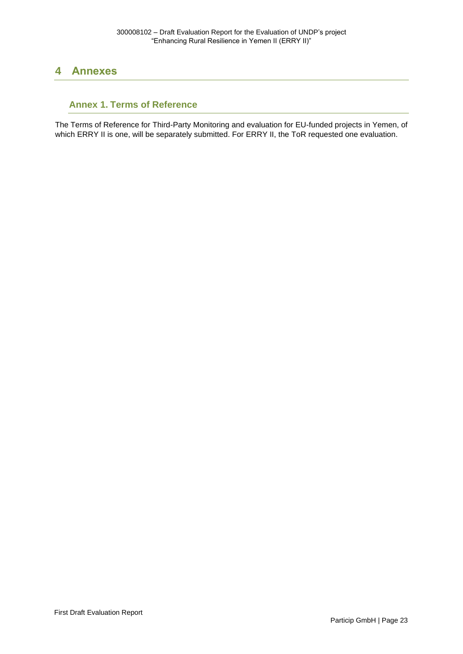# <span id="page-32-0"></span>**4 Annexes**

# <span id="page-32-1"></span>**Annex 1. Terms of Reference**

The Terms of Reference for Third-Party Monitoring and evaluation for EU-funded projects in Yemen, of which ERRY II is one, will be separately submitted. For ERRY II, the ToR requested one evaluation.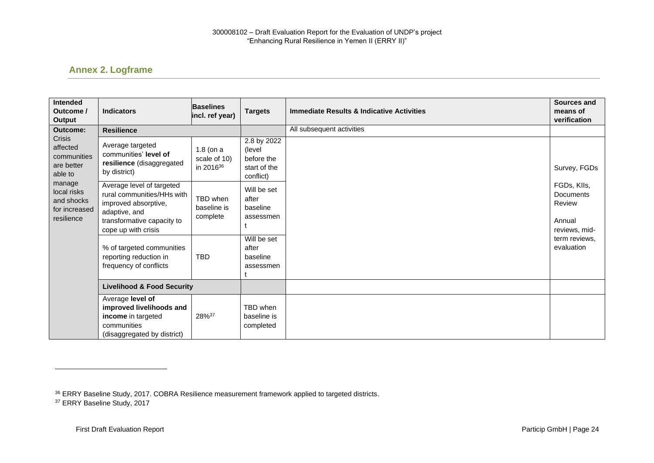# **Annex 2. Logframe**

| <b>Intended</b><br>Outcome /<br>Output                                                                                                              | <b>Indicators</b>                                                                                                                                     | <b>Baselines</b><br>incl. ref year)                  | <b>Targets</b>                                                   | <b>Immediate Results &amp; Indicative Activities</b> | <b>Sources and</b><br>means of<br>verification                       |
|-----------------------------------------------------------------------------------------------------------------------------------------------------|-------------------------------------------------------------------------------------------------------------------------------------------------------|------------------------------------------------------|------------------------------------------------------------------|------------------------------------------------------|----------------------------------------------------------------------|
| <b>Outcome:</b><br>Crisis<br>affected<br>communities<br>are better<br>able to<br>manage<br>local risks<br>and shocks<br>for increased<br>resilience | <b>Resilience</b>                                                                                                                                     |                                                      |                                                                  | All subsequent activities                            |                                                                      |
|                                                                                                                                                     | Average targeted<br>communities' level of<br>resilience (disaggregated<br>by district)                                                                | $1.8$ (on a<br>scale of 10)<br>in 2016 <sup>36</sup> | 2.8 by 2022<br>(level<br>before the<br>start of the<br>conflict) |                                                      | Survey, FGDs                                                         |
|                                                                                                                                                     | Average level of targeted<br>rural communities/HHs with<br>improved absorptive,<br>adaptive, and<br>transformative capacity to<br>cope up with crisis | TBD when<br>baseline is<br>complete                  | Will be set<br>after<br>baseline<br>assessmen                    |                                                      | FGDs, Klls,<br><b>Documents</b><br>Review<br>Annual<br>reviews, mid- |
|                                                                                                                                                     | % of targeted communities<br>reporting reduction in<br>frequency of conflicts                                                                         | <b>TBD</b>                                           | Will be set<br>after<br>baseline<br>assessmen                    |                                                      | term reviews.<br>evaluation                                          |
|                                                                                                                                                     | <b>Livelihood &amp; Food Security</b>                                                                                                                 |                                                      |                                                                  |                                                      |                                                                      |
|                                                                                                                                                     | Average level of<br>improved livelihoods and<br>income in targeted<br>communities<br>(disaggregated by district)                                      | 28%37                                                | TBD when<br>baseline is<br>completed                             |                                                      |                                                                      |

<span id="page-33-0"></span><sup>36</sup> ERRY Baseline Study, 2017. COBRA Resilience measurement framework applied to targeted districts. <sup>37</sup> ERRY Baseline Study, 2017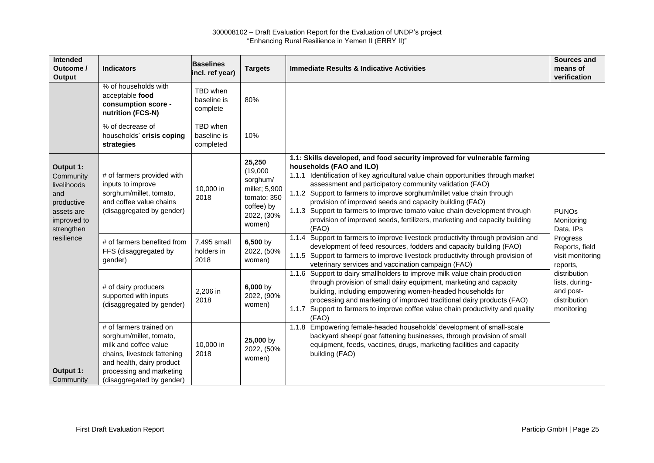| Intended<br>Outcome /<br>Output                                                                       | <b>Indicators</b>                                                                                                                                                                                | <b>Baselines</b><br>incl. ref year)  | <b>Targets</b>                                                                                       | <b>Immediate Results &amp; Indicative Activities</b>                                                                                                                                                                                                                                                                                                                                                                                                                                                                                                          | <b>Sources and</b><br>means of<br>verification                            |
|-------------------------------------------------------------------------------------------------------|--------------------------------------------------------------------------------------------------------------------------------------------------------------------------------------------------|--------------------------------------|------------------------------------------------------------------------------------------------------|---------------------------------------------------------------------------------------------------------------------------------------------------------------------------------------------------------------------------------------------------------------------------------------------------------------------------------------------------------------------------------------------------------------------------------------------------------------------------------------------------------------------------------------------------------------|---------------------------------------------------------------------------|
|                                                                                                       | % of households with<br>acceptable food<br>consumption score -<br>nutrition (FCS-N)                                                                                                              | TBD when<br>baseline is<br>complete  | 80%                                                                                                  |                                                                                                                                                                                                                                                                                                                                                                                                                                                                                                                                                               |                                                                           |
|                                                                                                       | % of decrease of<br>households' crisis coping<br>strategies                                                                                                                                      | TBD when<br>baseline is<br>completed | 10%                                                                                                  |                                                                                                                                                                                                                                                                                                                                                                                                                                                                                                                                                               |                                                                           |
| Output 1:<br>Community<br>livelihoods<br>and<br>productive<br>assets are<br>improved to<br>strengthen | # of farmers provided with<br>inputs to improve<br>sorghum/millet, tomato,<br>and coffee value chains<br>(disaggregated by gender)                                                               | 10,000 in<br>2018                    | 25,250<br>(19,000)<br>sorghum/<br>millet; 5,900<br>tomato; 350<br>coffee) by<br>2022, (30%<br>women) | 1.1: Skills developed, and food security improved for vulnerable farming<br>households (FAO and ILO)<br>1.1.1 Identification of key agricultural value chain opportunities through market<br>assessment and participatory community validation (FAO)<br>1.1.2 Support to farmers to improve sorghum/millet value chain through<br>provision of improved seeds and capacity building (FAO)<br>1.1.3 Support to farmers to improve tomato value chain development through<br>provision of improved seeds, fertilizers, marketing and capacity building<br>(FAO) | <b>PUNOs</b><br>Monitoring<br>Data, IPs                                   |
| resilience                                                                                            | # of farmers benefited from<br>FFS (disaggregated by<br>gender)                                                                                                                                  | 7,495 small<br>holders in<br>2018    | $6,500$ by<br>2022, (50%<br>women)                                                                   | 1.1.4 Support to farmers to improve livestock productivity through provision and<br>development of feed resources, fodders and capacity building (FAO)<br>1.1.5 Support to farmers to improve livestock productivity through provision of<br>veterinary services and vaccination campaign (FAO)                                                                                                                                                                                                                                                               | Progress<br>Reports, field<br>visit monitoring<br>reports,                |
|                                                                                                       | # of dairy producers<br>supported with inputs<br>(disaggregated by gender)                                                                                                                       | 2,206 in<br>2018                     | $6,000$ by<br>2022, (90%<br>women)                                                                   | 1.1.6 Support to dairy smallholders to improve milk value chain production<br>through provision of small dairy equipment, marketing and capacity<br>building, including empowering women-headed households for<br>processing and marketing of improved traditional dairy products (FAO)<br>1.1.7 Support to farmers to improve coffee value chain productivity and quality<br>(FAO)                                                                                                                                                                           | distribution<br>lists, during-<br>and post-<br>distribution<br>monitoring |
| Output 1:<br>Community                                                                                | # of farmers trained on<br>sorghum/millet, tomato,<br>milk and coffee value<br>chains, livestock fattening<br>and health, dairy product<br>processing and marketing<br>(disaggregated by gender) | 10,000 in<br>2018                    | 25,000 by<br>2022, (50%<br>women)                                                                    | 1.1.8 Empowering female-headed households' development of small-scale<br>backyard sheep/ goat fattening businesses, through provision of small<br>equipment, feeds, vaccines, drugs, marketing facilities and capacity<br>building (FAO)                                                                                                                                                                                                                                                                                                                      |                                                                           |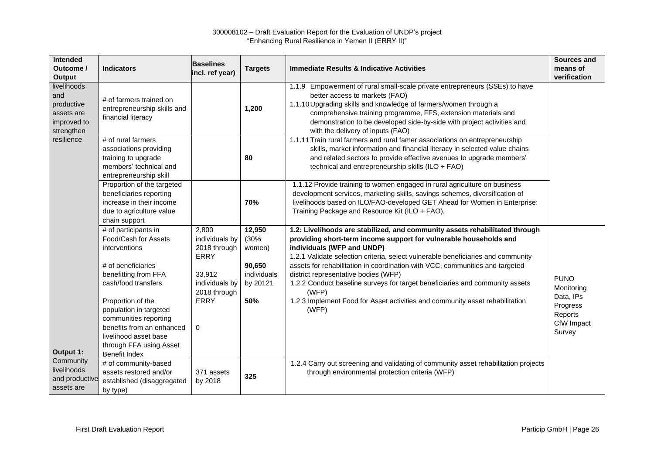| Intended<br>Outcome /<br><b>Output</b>                                      | <b>Indicators</b>                                                                                                                                                                               | <b>Baselines</b><br>incl. ref year)                          | <b>Targets</b>                           | <b>Immediate Results &amp; Indicative Activities</b>                                                                                                                                                                                                                                                                                                               | <b>Sources and</b><br>means of<br>verification                                        |
|-----------------------------------------------------------------------------|-------------------------------------------------------------------------------------------------------------------------------------------------------------------------------------------------|--------------------------------------------------------------|------------------------------------------|--------------------------------------------------------------------------------------------------------------------------------------------------------------------------------------------------------------------------------------------------------------------------------------------------------------------------------------------------------------------|---------------------------------------------------------------------------------------|
| livelihoods<br>and<br>productive<br>assets are<br>improved to<br>strengthen | # of farmers trained on<br>entrepreneurship skills and<br>financial literacy                                                                                                                    |                                                              | 1,200                                    | 1.1.9 Empowerment of rural small-scale private entrepreneurs (SSEs) to have<br>better access to markets (FAO)<br>1.1.10 Upgrading skills and knowledge of farmers/women through a<br>comprehensive training programme, FFS, extension materials and<br>demonstration to be developed side-by-side with project activities and<br>with the delivery of inputs (FAO) |                                                                                       |
| resilience                                                                  | # of rural farmers<br>associations providing<br>training to upgrade<br>members' technical and<br>entrepreneurship skill                                                                         |                                                              | 80                                       | 1.1.11 Train rural farmers and rural famer associations on entrepreneurship<br>skills, market information and financial literacy in selected value chains<br>and related sectors to provide effective avenues to upgrade members'<br>technical and entrepreneurship skills (ILO + FAO)                                                                             |                                                                                       |
|                                                                             | Proportion of the targeted<br>beneficiaries reporting<br>increase in their income<br>due to agriculture value<br>chain support                                                                  |                                                              | 70%                                      | 1.1.12 Provide training to women engaged in rural agriculture on business<br>development services, marketing skills, savings schemes, diversification of<br>livelihoods based on ILO/FAO-developed GET Ahead for Women in Enterprise:<br>Training Package and Resource Kit (ILO + FAO).                                                                            |                                                                                       |
|                                                                             | # of participants in<br>Food/Cash for Assets<br>interventions                                                                                                                                   | 2,800<br>individuals by<br>2018 through<br>ERRY              | 12,950<br>(30%<br>women)                 | 1.2: Livelihoods are stabilized, and community assets rehabilitated through<br>providing short-term income support for vulnerable households and<br>individuals (WFP and UNDP)<br>1.2.1 Validate selection criteria, select vulnerable beneficiaries and community                                                                                                 |                                                                                       |
|                                                                             | # of beneficiaries<br>benefitting from FFA<br>cash/food transfers<br>Proportion of the<br>population in targeted<br>communities reporting<br>benefits from an enhanced<br>livelihood asset base | 33,912<br>individuals by<br>2018 through<br><b>ERRY</b><br>0 | 90,650<br>individuals<br>by 20121<br>50% | assets for rehabilitation in coordination with VCC, communities and targeted<br>district representative bodies (WFP)<br>1.2.2 Conduct baseline surveys for target beneficiaries and community assets<br>(WFP)<br>1.2.3 Implement Food for Asset activities and community asset rehabilitation<br>(WFP)                                                             | <b>PUNO</b><br>Monitoring<br>Data, IPs<br>Progress<br>Reports<br>CfW Impact<br>Survey |
| Output 1:<br>Community<br>livelihoods<br>and productive<br>assets are       | through FFA using Asset<br><b>Benefit Index</b><br># of community-based<br>assets restored and/or<br>established (disaggregated<br>by type)                                                     | 371 assets<br>by 2018                                        | 325                                      | 1.2.4 Carry out screening and validating of community asset rehabilitation projects<br>through environmental protection criteria (WFP)                                                                                                                                                                                                                             |                                                                                       |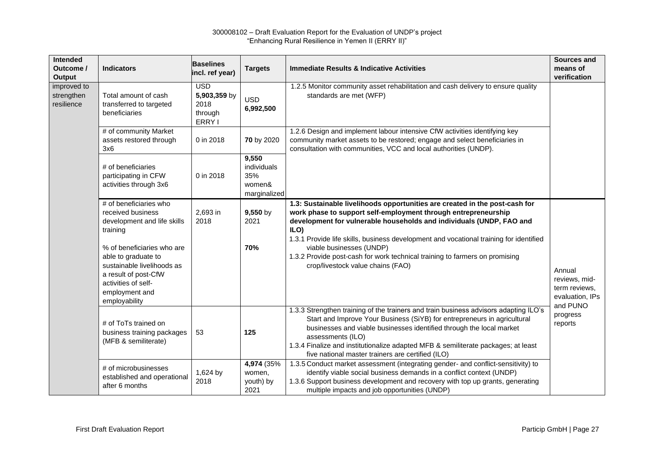| Intended<br>Outcome /<br><b>Output</b>  | <b>Indicators</b>                                                                                                                                                                                                                                           | <b>Baselines</b><br>incl. ref year)                     | <b>Targets</b>                                        | <b>Immediate Results &amp; Indicative Activities</b>                                                                                                                                                                                                                                                                                                                                                                                                                    | Sources and<br>means of<br>verification                     |
|-----------------------------------------|-------------------------------------------------------------------------------------------------------------------------------------------------------------------------------------------------------------------------------------------------------------|---------------------------------------------------------|-------------------------------------------------------|-------------------------------------------------------------------------------------------------------------------------------------------------------------------------------------------------------------------------------------------------------------------------------------------------------------------------------------------------------------------------------------------------------------------------------------------------------------------------|-------------------------------------------------------------|
| improved to<br>strengthen<br>resilience | Total amount of cash<br>transferred to targeted<br>beneficiaries                                                                                                                                                                                            | <b>USD</b><br>5,903,359 by<br>2018<br>through<br>ERRY I | <b>USD</b><br>6,992,500                               | 1.2.5 Monitor community asset rehabilitation and cash delivery to ensure quality<br>standards are met (WFP)                                                                                                                                                                                                                                                                                                                                                             |                                                             |
|                                         | # of community Market<br>assets restored through<br>3x6                                                                                                                                                                                                     | 0 in 2018                                               | 70 by 2020                                            | 1.2.6 Design and implement labour intensive CfW activities identifying key<br>community market assets to be restored; engage and select beneficiaries in<br>consultation with communities, VCC and local authorities (UNDP).                                                                                                                                                                                                                                            |                                                             |
|                                         | # of beneficiaries<br>participating in CFW<br>activities through 3x6                                                                                                                                                                                        | 0 in 2018                                               | 9,550<br>individuals<br>35%<br>women&<br>marginalized |                                                                                                                                                                                                                                                                                                                                                                                                                                                                         |                                                             |
|                                         | # of beneficiaries who<br>received business<br>development and life skills<br>training<br>% of beneficiaries who are<br>able to graduate to<br>sustainable livelihoods as<br>a result of post-CfW<br>activities of self-<br>employment and<br>employability | 2,693 in<br>2018                                        | $9,550$ by<br>2021<br>70%                             | 1.3: Sustainable livelihoods opportunities are created in the post-cash for<br>work phase to support self-employment through entrepreneurship<br>development for vulnerable households and individuals (UNDP, FAO and<br>ILO)<br>1.3.1 Provide life skills, business development and vocational training for identified<br>viable businesses (UNDP)<br>1.3.2 Provide post-cash for work technical training to farmers on promising<br>crop/livestock value chains (FAO) | Annual<br>reviews, mid-<br>term reviews,<br>evaluation, IPs |
|                                         | # of ToTs trained on<br>business training packages<br>(MFB & semiliterate)                                                                                                                                                                                  | 53                                                      | 125                                                   | 1.3.3 Strengthen training of the trainers and train business advisors adapting ILO's<br>Start and Improve Your Business (SiYB) for entrepreneurs in agricultural<br>businesses and viable businesses identified through the local market<br>assessments (ILO)<br>1.3.4 Finalize and institutionalize adapted MFB & semiliterate packages; at least<br>five national master trainers are certified (ILO)                                                                 | and PUNO<br>progress<br>reports                             |
|                                         | # of microbusinesses<br>established and operational<br>after 6 months                                                                                                                                                                                       | 1,624 by<br>2018                                        | 4,974 (35%)<br>women,<br>youth) by<br>2021            | 1.3.5 Conduct market assessment (integrating gender- and conflict-sensitivity) to<br>identify viable social business demands in a conflict context (UNDP)<br>1.3.6 Support business development and recovery with top up grants, generating<br>multiple impacts and job opportunities (UNDP)                                                                                                                                                                            |                                                             |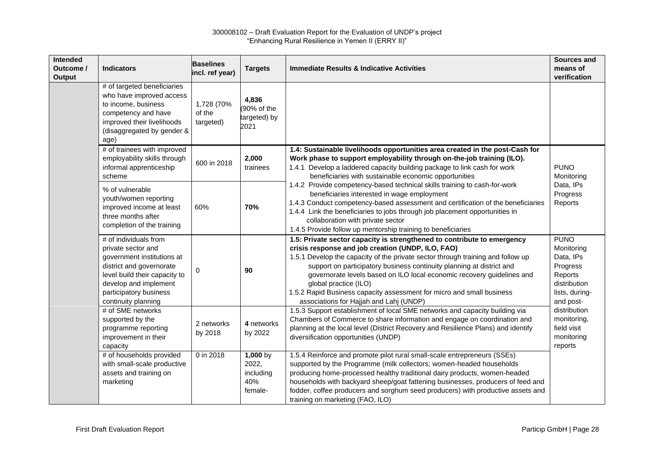| Intended<br>Outcome /<br><b>Output</b> | <b>Indicators</b>                                                                                                                                                                                                | <b>Baselines</b><br>incl. ref year) | <b>Targets</b>                                   | <b>Immediate Results &amp; Indicative Activities</b>                                                                                                                                                                                                                                                                                                                                                                                                                                                            | Sources and<br>means of<br>verification                                                                      |
|----------------------------------------|------------------------------------------------------------------------------------------------------------------------------------------------------------------------------------------------------------------|-------------------------------------|--------------------------------------------------|-----------------------------------------------------------------------------------------------------------------------------------------------------------------------------------------------------------------------------------------------------------------------------------------------------------------------------------------------------------------------------------------------------------------------------------------------------------------------------------------------------------------|--------------------------------------------------------------------------------------------------------------|
|                                        | # of targeted beneficiaries<br>who have improved access<br>to income, business<br>competency and have<br>improved their livelihoods<br>(disaggregated by gender &<br>age)                                        | 1,728 (70%<br>of the<br>targeted)   | 4,836<br>(90% of the<br>targeted) by<br>2021     |                                                                                                                                                                                                                                                                                                                                                                                                                                                                                                                 |                                                                                                              |
|                                        | # of trainees with improved<br>employability skills through<br>informal apprenticeship<br>scheme                                                                                                                 | 600 in 2018                         | 2,000<br>trainees                                | 1.4: Sustainable livelihoods opportunities area created in the post-Cash for<br>Work phase to support employability through on-the-job training (ILO).<br>1.4.1 Develop a laddered capacity building package to link cash for work<br>beneficiaries with sustainable economic opportunities                                                                                                                                                                                                                     | <b>PUNO</b><br>Monitoring                                                                                    |
|                                        | % of vulnerable<br>youth/women reporting<br>improved income at least<br>three months after<br>completion of the training                                                                                         | 60%                                 | 70%                                              | 1.4.2 Provide competency-based technical skills training to cash-for-work<br>beneficiaries interested in wage employment<br>1.4.3 Conduct competency-based assessment and certification of the beneficiaries<br>1.4.4 Link the beneficiaries to jobs through job placement opportunities in<br>collaboration with private sector<br>1.4.5 Provide follow up mentorship training to beneficiaries                                                                                                                | Data, IPs<br>Progress<br>Reports                                                                             |
|                                        | # of individuals from<br>private sector and<br>government institutions at<br>district and governorate<br>level build their capacity to<br>develop and implement<br>participatory business<br>continuity planning | 0                                   | 90                                               | 1.5: Private sector capacity is strengthened to contribute to emergency<br>crisis response and job creation (UNDP, ILO, FAO)<br>1.5.1 Develop the capacity of the private sector through training and follow up<br>support on participatory business continuity planning at district and<br>governorate levels based on ILO local economic recovery guidelines and<br>global practice (ILO)<br>1.5.2 Rapid Business capacity assessment for micro and small business<br>associations for Hajjah and Lahj (UNDP) | <b>PUNO</b><br>Monitoring<br>Data, IPs<br>Progress<br>Reports<br>distribution<br>lists, during-<br>and post- |
|                                        | # of SME networks<br>supported by the<br>programme reporting<br>improvement in their<br>capacity                                                                                                                 | 2 networks<br>by 2018               | 4 networks<br>by 2022                            | 1.5.3 Support establishment of local SME networks and capacity building via<br>Chambers of Commerce to share information and engage on coordination and<br>planning at the local level (District Recovery and Resilience Plans) and identify<br>diversification opportunities (UNDP)                                                                                                                                                                                                                            | distribution<br>monitoring,<br>field visit<br>monitoring<br>reports                                          |
|                                        | # of households provided<br>with small-scale productive<br>assets and training on<br>marketing                                                                                                                   | 0 in 2018                           | 1,000 by<br>2022,<br>including<br>40%<br>female- | 1.5.4 Reinforce and promote pilot rural small-scale entrepreneurs (SSEs)<br>supported by the Programme (milk collectors; women-headed households<br>producing home-processed healthy traditional dairy products, women-headed<br>households with backyard sheep/goat fattening businesses, producers of feed and<br>fodder, coffee producers and sorghum seed producers) with productive assets and<br>training on marketing (FAO, ILO)                                                                         |                                                                                                              |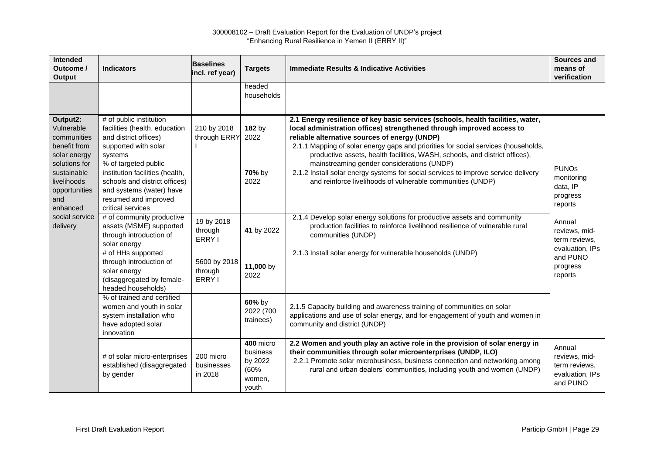| Intended<br>Outcome /<br><b>Output</b>                                                                                                                                     | <b>Indicators</b>                                                                                                                                                                                                                                                                                                      | <b>Baselines</b><br>incl. ref year) | <b>Targets</b>                                              | <b>Immediate Results &amp; Indicative Activities</b>                                                                                                                                                                                                                                                                                                                                                                                                                                                                                                                                                                                                         | <b>Sources and</b><br>means of<br>verification                           |
|----------------------------------------------------------------------------------------------------------------------------------------------------------------------------|------------------------------------------------------------------------------------------------------------------------------------------------------------------------------------------------------------------------------------------------------------------------------------------------------------------------|-------------------------------------|-------------------------------------------------------------|--------------------------------------------------------------------------------------------------------------------------------------------------------------------------------------------------------------------------------------------------------------------------------------------------------------------------------------------------------------------------------------------------------------------------------------------------------------------------------------------------------------------------------------------------------------------------------------------------------------------------------------------------------------|--------------------------------------------------------------------------|
|                                                                                                                                                                            |                                                                                                                                                                                                                                                                                                                        |                                     | headed<br>households                                        |                                                                                                                                                                                                                                                                                                                                                                                                                                                                                                                                                                                                                                                              |                                                                          |
| Output2:<br>Vulnerable<br>communities<br>benefit from<br>solar energy<br>solutions for<br>sustainable<br>livelihoods<br>opportunities<br>and<br>enhanced<br>social service | # of public institution<br>facilities (health, education<br>and district offices)<br>supported with solar<br>systems<br>% of targeted public<br>institution facilities (health,<br>schools and district offices)<br>and systems (water) have<br>resumed and improved<br>critical services<br># of community productive | 210 by 2018<br>through ERRY         | 182 by<br>2022<br>70% by<br>2022                            | 2.1 Energy resilience of key basic services (schools, health facilities, water,<br>local administration offices) strengthened through improved access to<br>reliable alternative sources of energy (UNDP)<br>2.1.1 Mapping of solar energy gaps and priorities for social services (households,<br>productive assets, health facilities, WASH, schools, and district offices),<br>mainstreaming gender considerations (UNDP)<br>2.1.2 Install solar energy systems for social services to improve service delivery<br>and reinforce livelihoods of vulnerable communities (UNDP)<br>2.1.4 Develop solar energy solutions for productive assets and community | <b>PUNO<sub>s</sub></b><br>monitoring<br>data, IP<br>progress<br>reports |
| delivery                                                                                                                                                                   | assets (MSME) supported<br>through introduction of<br>solar energy                                                                                                                                                                                                                                                     | 19 by 2018<br>through<br>ERRY I     | 41 by 2022                                                  | production facilities to reinforce livelihood resilience of vulnerable rural<br>communities (UNDP)                                                                                                                                                                                                                                                                                                                                                                                                                                                                                                                                                           | Annual<br>reviews, mid-<br>term reviews,                                 |
|                                                                                                                                                                            | # of HHs supported<br>through introduction of<br>solar energy<br>(disaggregated by female-<br>headed households)                                                                                                                                                                                                       | 5600 by 2018<br>through<br>ERRY I   | 11,000 by<br>2022                                           | 2.1.3 Install solar energy for vulnerable households (UNDP)                                                                                                                                                                                                                                                                                                                                                                                                                                                                                                                                                                                                  | evaluation, IPs<br>and PUNO<br>progress<br>reports                       |
|                                                                                                                                                                            | % of trained and certified<br>women and youth in solar<br>system installation who<br>have adopted solar<br>innovation                                                                                                                                                                                                  |                                     | 60% by<br>2022 (700<br>trainees)                            | 2.1.5 Capacity building and awareness training of communities on solar<br>applications and use of solar energy, and for engagement of youth and women in<br>community and district (UNDP)                                                                                                                                                                                                                                                                                                                                                                                                                                                                    |                                                                          |
|                                                                                                                                                                            | # of solar micro-enterprises<br>established (disaggregated<br>by gender                                                                                                                                                                                                                                                | 200 micro<br>businesses<br>in 2018  | 400 micro<br>business<br>by 2022<br>(60%<br>women,<br>youth | 2.2 Women and youth play an active role in the provision of solar energy in<br>their communities through solar microenterprises (UNDP, ILO)<br>2.2.1 Promote solar microbusiness, business connection and networking among<br>rural and urban dealers' communities, including youth and women (UNDP)                                                                                                                                                                                                                                                                                                                                                         | Annual<br>reviews, mid-<br>term reviews,<br>evaluation, IPs<br>and PUNO  |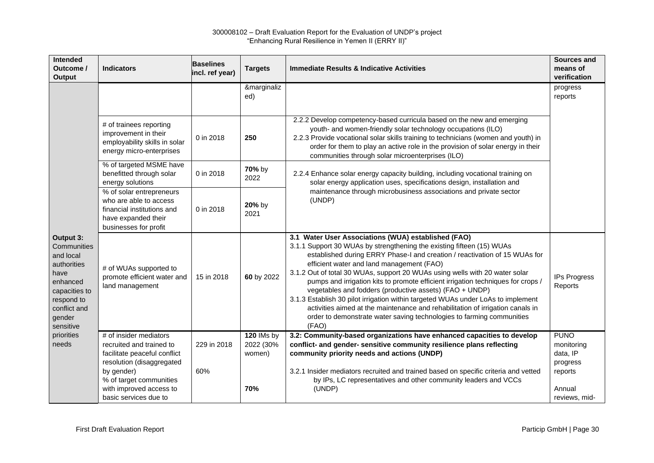| Intended<br>Outcome /<br>Output                                                                                                                | <b>Indicators</b>                                                                                                                                        | <b>Baselines</b><br>incl. ref year) | <b>Targets</b>                    | <b>Immediate Results &amp; Indicative Activities</b>                                                                                                                                                                                                                                                                                                                                                                                                                                                                                                                                                                                                                                                                                          | Sources and<br>means of<br>verification                      |
|------------------------------------------------------------------------------------------------------------------------------------------------|----------------------------------------------------------------------------------------------------------------------------------------------------------|-------------------------------------|-----------------------------------|-----------------------------------------------------------------------------------------------------------------------------------------------------------------------------------------------------------------------------------------------------------------------------------------------------------------------------------------------------------------------------------------------------------------------------------------------------------------------------------------------------------------------------------------------------------------------------------------------------------------------------------------------------------------------------------------------------------------------------------------------|--------------------------------------------------------------|
|                                                                                                                                                |                                                                                                                                                          |                                     | &marginaliz<br>ed)                |                                                                                                                                                                                                                                                                                                                                                                                                                                                                                                                                                                                                                                                                                                                                               | progress<br>reports                                          |
|                                                                                                                                                | # of trainees reporting<br>improvement in their<br>employability skills in solar<br>energy micro-enterprises                                             | 0 in 2018                           | 250                               | 2.2.2 Develop competency-based curricula based on the new and emerging<br>youth- and women-friendly solar technology occupations (ILO)<br>2.2.3 Provide vocational solar skills training to technicians (women and youth) in<br>order for them to play an active role in the provision of solar energy in their<br>communities through solar microenterprises (ILO)                                                                                                                                                                                                                                                                                                                                                                           |                                                              |
|                                                                                                                                                | % of targeted MSME have<br>benefitted through solar<br>energy solutions                                                                                  | 0 in 2018                           | 70% by<br>2022                    | 2.2.4 Enhance solar energy capacity building, including vocational training on<br>solar energy application uses, specifications design, installation and                                                                                                                                                                                                                                                                                                                                                                                                                                                                                                                                                                                      |                                                              |
|                                                                                                                                                | % of solar entrepreneurs<br>who are able to access<br>financial institutions and<br>have expanded their<br>businesses for profit                         | 0 in 2018                           | 20% by<br>2021                    | maintenance through microbusiness associations and private sector<br>(UNDP)                                                                                                                                                                                                                                                                                                                                                                                                                                                                                                                                                                                                                                                                   |                                                              |
| Output 3:<br>Communities<br>and local<br>authorities<br>have<br>enhanced<br>capacities to<br>respond to<br>conflict and<br>gender<br>sensitive | # of WUAs supported to<br>promote efficient water and<br>land management                                                                                 | 15 in 2018                          | 60 by 2022                        | 3.1 Water User Associations (WUA) established (FAO)<br>3.1.1 Support 30 WUAs by strengthening the existing fifteen (15) WUAs<br>established during ERRY Phase-I and creation / reactivation of 15 WUAs for<br>efficient water and land management (FAO)<br>3.1.2 Out of total 30 WUAs, support 20 WUAs using wells with 20 water solar<br>pumps and irrigation kits to promote efficient irrigation techniques for crops /<br>vegetables and fodders (productive assets) (FAO + UNDP)<br>3.1.3 Establish 30 pilot irrigation within targeted WUAs under LoAs to implement<br>activities aimed at the maintenance and rehabilitation of irrigation canals in<br>order to demonstrate water saving technologies to farming communities<br>(FAO) | IPs Progress<br>Reports                                      |
| priorities<br>needs                                                                                                                            | # of insider mediators<br>recruited and trained to<br>facilitate peaceful conflict<br>resolution (disaggregated<br>by gender)<br>% of target communities | 229 in 2018<br>60%                  | 120 IMs by<br>2022 (30%<br>women) | 3.2: Community-based organizations have enhanced capacities to develop<br>conflict- and gender- sensitive community resilience plans reflecting<br>community priority needs and actions (UNDP)<br>3.2.1 Insider mediators recruited and trained based on specific criteria and vetted<br>by IPs, LC representatives and other community leaders and VCCs                                                                                                                                                                                                                                                                                                                                                                                      | <b>PUNO</b><br>monitoring<br>data, IP<br>progress<br>reports |
|                                                                                                                                                | with improved access to<br>basic services due to                                                                                                         |                                     | 70%                               | (UNDP)                                                                                                                                                                                                                                                                                                                                                                                                                                                                                                                                                                                                                                                                                                                                        | Annual<br>reviews, mid-                                      |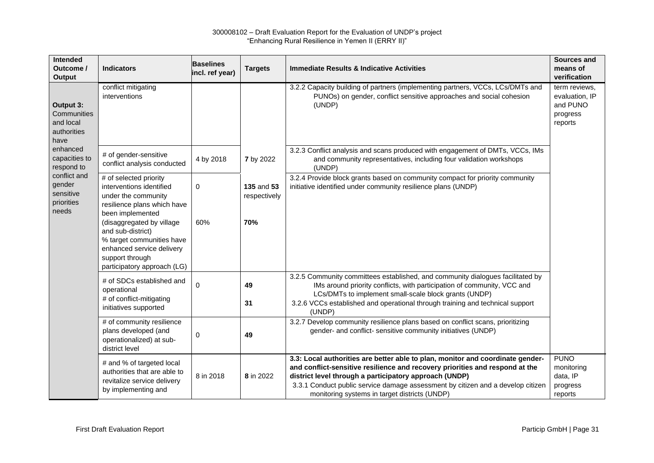| Intended<br>Outcome /<br>Output                              | <b>Indicators</b>                                                                                                                                          | <b>Baselines</b><br>incl. ref year) | <b>Targets</b>             | <b>Immediate Results &amp; Indicative Activities</b>                                                                                                                                                                                                                                                                                                         | Sources and<br>means of<br>verification                            |
|--------------------------------------------------------------|------------------------------------------------------------------------------------------------------------------------------------------------------------|-------------------------------------|----------------------------|--------------------------------------------------------------------------------------------------------------------------------------------------------------------------------------------------------------------------------------------------------------------------------------------------------------------------------------------------------------|--------------------------------------------------------------------|
| Output 3:<br>Communities<br>and local<br>authorities<br>have | conflict mitigating<br>interventions                                                                                                                       |                                     |                            | 3.2.2 Capacity building of partners (implementing partners, VCCs, LCs/DMTs and<br>PUNOs) on gender, conflict sensitive approaches and social cohesion<br>(UNDP)                                                                                                                                                                                              | term reviews,<br>evaluation, IP<br>and PUNO<br>progress<br>reports |
| enhanced<br>capacities to<br>respond to                      | # of gender-sensitive<br>conflict analysis conducted                                                                                                       | 4 by 2018                           | <b>7</b> by 2022           | 3.2.3 Conflict analysis and scans produced with engagement of DMTs, VCCs, IMs<br>and community representatives, including four validation workshops<br>(UNDP)                                                                                                                                                                                                |                                                                    |
| conflict and<br>gender<br>sensitive<br>priorities<br>needs   | # of selected priority<br>interventions identified<br>under the community<br>resilience plans which have<br>been implemented                               | 0                                   | 135 and 53<br>respectively | 3.2.4 Provide block grants based on community compact for priority community<br>initiative identified under community resilience plans (UNDP)                                                                                                                                                                                                                |                                                                    |
|                                                              | (disaggregated by village<br>and sub-district)<br>% target communities have<br>enhanced service delivery<br>support through<br>participatory approach (LG) | 60%                                 | 70%                        |                                                                                                                                                                                                                                                                                                                                                              |                                                                    |
|                                                              | # of SDCs established and<br>operational<br># of conflict-mitigating<br>initiatives supported                                                              | 0                                   | 49<br>31                   | 3.2.5 Community committees established, and community dialogues facilitated by<br>IMs around priority conflicts, with participation of community, VCC and<br>LCs/DMTs to implement small-scale block grants (UNDP)<br>3.2.6 VCCs established and operational through training and technical support<br>(UNDP)                                                |                                                                    |
|                                                              | # of community resilience<br>plans developed (and<br>operationalized) at sub-<br>district level                                                            | 0                                   | 49                         | 3.2.7 Develop community resilience plans based on conflict scans, prioritizing<br>gender- and conflict- sensitive community initiatives (UNDP)                                                                                                                                                                                                               |                                                                    |
|                                                              | # and % of targeted local<br>authorities that are able to<br>revitalize service delivery<br>by implementing and                                            | 8 in 2018                           | 8 in 2022                  | 3.3: Local authorities are better able to plan, monitor and coordinate gender-<br>and conflict-sensitive resilience and recovery priorities and respond at the<br>district level through a participatory approach (UNDP)<br>3.3.1 Conduct public service damage assessment by citizen and a develop citizen<br>monitoring systems in target districts (UNDP) | <b>PUNO</b><br>monitoring<br>data, IP<br>progress<br>reports       |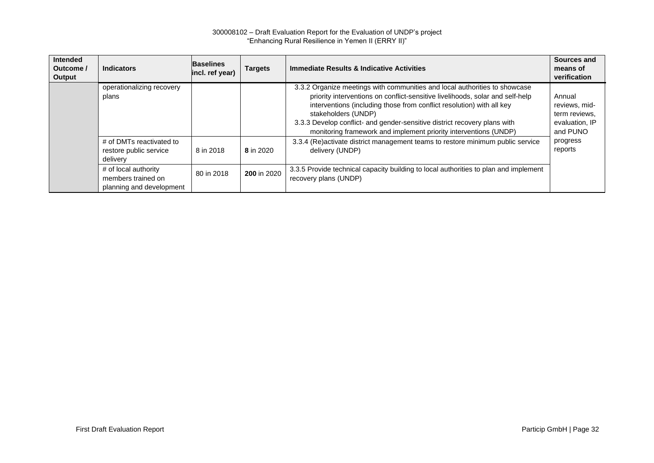| <b>Intended</b><br>Outcome /<br>Output | <b>Indicators</b>                                                      | <b>Baselines</b><br>incl. ref year) | <b>Targets</b> | <b>Immediate Results &amp; Indicative Activities</b>                                                                                                                                                                                                                                                                                                                                                         | <b>Sources and</b><br>means of<br>verification                         |
|----------------------------------------|------------------------------------------------------------------------|-------------------------------------|----------------|--------------------------------------------------------------------------------------------------------------------------------------------------------------------------------------------------------------------------------------------------------------------------------------------------------------------------------------------------------------------------------------------------------------|------------------------------------------------------------------------|
|                                        | operationalizing recovery<br>plans                                     |                                     |                | 3.3.2 Organize meetings with communities and local authorities to showcase<br>priority interventions on conflict-sensitive livelihoods, solar and self-help<br>interventions (including those from conflict resolution) with all key<br>stakeholders (UNDP)<br>3.3.3 Develop conflict- and gender-sensitive district recovery plans with<br>monitoring framework and implement priority interventions (UNDP) | Annual<br>reviews, mid-<br>term reviews,<br>evaluation, IP<br>and PUNO |
|                                        | # of DMTs reactivated to<br>restore public service<br>delivery         | 8 in 2018                           | 8 in 2020      | 3.3.4 (Re)activate district management teams to restore minimum public service<br>delivery (UNDP)                                                                                                                                                                                                                                                                                                            | progress<br>reports                                                    |
|                                        | # of local authority<br>members trained on<br>planning and development | 80 in 2018                          | 200 in 2020    | 3.3.5 Provide technical capacity building to local authorities to plan and implement<br>recovery plans (UNDP)                                                                                                                                                                                                                                                                                                |                                                                        |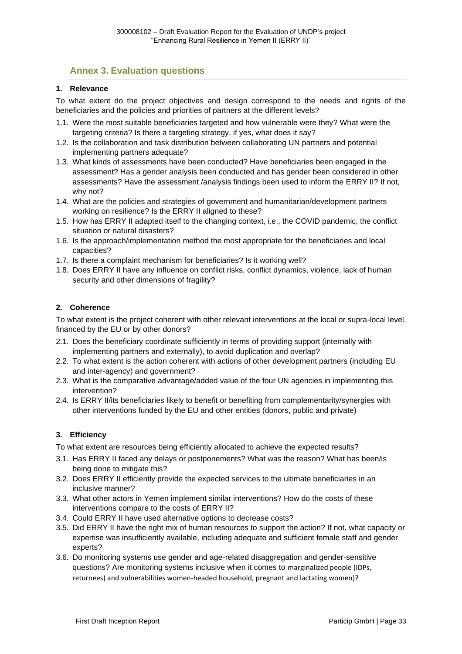# <span id="page-42-0"></span>**Annex 3. Evaluation questions**

#### **1. Relevance**

To what extent do the project objectives and design correspond to the needs and rights of the beneficiaries and the policies and priorities of partners at the different levels?

- 1.1. Were the most suitable beneficiaries targeted and how vulnerable were they? What were the targeting criteria? Is there a targeting strategy, if yes, what does it say?
- 1.2. Is the collaboration and task distribution between collaborating UN partners and potential implementing partners adequate?
- 1.3. What kinds of assessments have been conducted? Have beneficiaries been engaged in the assessment? Has a gender analysis been conducted and has gender been considered in other assessments? Have the assessment /analysis findings been used to inform the ERRY II? If not, why not?
- 1.4. What are the policies and strategies of government and humanitarian/development partners working on resilience? Is the ERRY II aligned to these?
- 1.5. How has ERRY II adapted itself to the changing context, i.e., the COVID pandemic, the conflict situation or natural disasters?
- 1.6. Is the approach/implementation method the most appropriate for the beneficiaries and local capacities?
- 1.7. Is there a complaint mechanism for beneficiaries? Is it working well?
- 1.8. Does ERRY II have any influence on conflict risks, conflict dynamics, violence, lack of human security and other dimensions of fragility?

#### **2. Coherence**

To what extent is the project coherent with other relevant interventions at the local or supra-local level, financed by the EU or by other donors?

- 2.1. Does the beneficiary coordinate sufficiently in terms of providing support (internally with implementing partners and externally), to avoid duplication and overlap?
- 2.2. To what extent is the action coherent with actions of other development partners (including EU and inter-agency) and government?
- 2.3. What is the comparative advantage/added value of the four UN agencies in implementing this intervention?
- 2.4. Is ERRY II/its beneficiaries likely to benefit or benefiting from complementarity/synergies with other interventions funded by the EU and other entities (donors, public and private)

#### **3. Efficiency**

To what extent are resources being efficiently allocated to achieve the expected results?

- 3.1. Has ERRY II faced any delays or postponements? What was the reason? What has been/is being done to mitigate this?
- 3.2. Does ERRY II efficiently provide the expected services to the ultimate beneficiaries in an inclusive manner?
- 3.3. What other actors in Yemen implement similar interventions? How do the costs of these interventions compare to the costs of ERRY II?
- 3.4. Could ERRY II have used alternative options to decrease costs?
- 3.5. Did ERRY II have the right mix of human resources to support the action? If not, what capacity or expertise was insufficiently available, including adequate and sufficient female staff and gender experts?
- 3.6. Do monitoring systems use gender and age-related disaggregation and gender-sensitive questions? Are monitoring systems inclusive when it comes to marginalized people (IDPs, returnees) and vulnerabilities women-headed household, pregnant and lactating women)?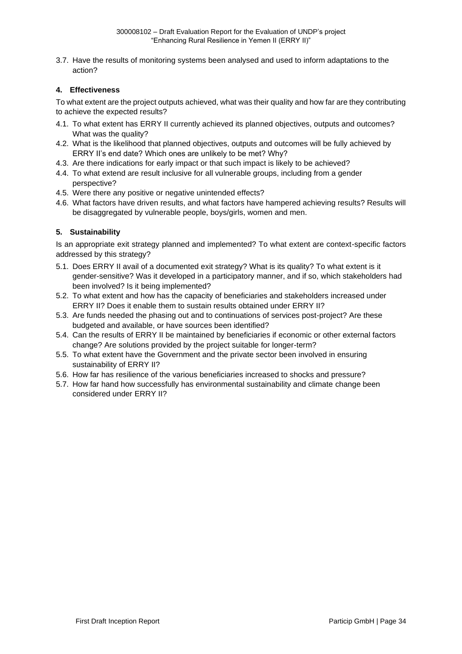3.7. Have the results of monitoring systems been analysed and used to inform adaptations to the action?

#### **4. Effectiveness**

To what extent are the project outputs achieved, what was their quality and how far are they contributing to achieve the expected results?

- 4.1. To what extent has ERRY II currently achieved its planned objectives, outputs and outcomes? What was the quality?
- 4.2. What is the likelihood that planned objectives, outputs and outcomes will be fully achieved by ERRY II's end date? Which ones are unlikely to be met? Why?
- 4.3. Are there indications for early impact or that such impact is likely to be achieved?
- 4.4. To what extend are result inclusive for all vulnerable groups, including from a gender perspective?
- 4.5. Were there any positive or negative unintended effects?
- 4.6. What factors have driven results, and what factors have hampered achieving results? Results will be disaggregated by vulnerable people, boys/girls, women and men.

#### **5. Sustainability**

Is an appropriate exit strategy planned and implemented? To what extent are context-specific factors addressed by this strategy?

- 5.1. Does ERRY II avail of a documented exit strategy? What is its quality? To what extent is it gender-sensitive? Was it developed in a participatory manner, and if so, which stakeholders had been involved? Is it being implemented?
- 5.2. To what extent and how has the capacity of beneficiaries and stakeholders increased under ERRY II? Does it enable them to sustain results obtained under ERRY II?
- 5.3. Are funds needed the phasing out and to continuations of services post-project? Are these budgeted and available, or have sources been identified?
- 5.4. Can the results of ERRY II be maintained by beneficiaries if economic or other external factors change? Are solutions provided by the project suitable for longer-term?
- 5.5. To what extent have the Government and the private sector been involved in ensuring sustainability of ERRY II?
- 5.6. How far has resilience of the various beneficiaries increased to shocks and pressure?
- 5.7. How far hand how successfully has environmental sustainability and climate change been considered under ERRY II?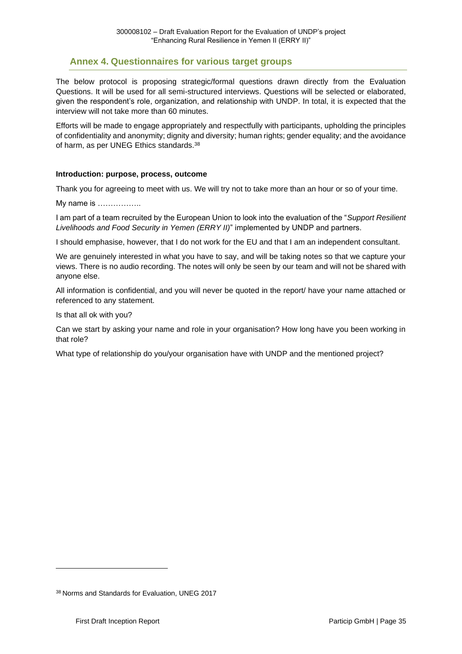# <span id="page-44-0"></span>**Annex 4. Questionnaires for various target groups**

The below protocol is proposing strategic/formal questions drawn directly from the Evaluation Questions. It will be used for all semi-structured interviews. Questions will be selected or elaborated, given the respondent's role, organization, and relationship with UNDP. In total, it is expected that the interview will not take more than 60 minutes.

Efforts will be made to engage appropriately and respectfully with participants, upholding the principles of confidentiality and anonymity; dignity and diversity; human rights; gender equality; and the avoidance of harm, as per UNEG Ethics standards.<sup>38</sup>

#### **Introduction: purpose, process, outcome**

Thank you for agreeing to meet with us. We will try not to take more than an hour or so of your time.

My name is ……………..

I am part of a team recruited by the European Union to look into the evaluation of the "*Support Resilient Livelihoods and Food Security in Yemen (ERRY II)*" implemented by UNDP and partners.

I should emphasise, however, that I do not work for the EU and that I am an independent consultant.

We are genuinely interested in what you have to say, and will be taking notes so that we capture your views. There is no audio recording. The notes will only be seen by our team and will not be shared with anyone else.

All information is confidential, and you will never be quoted in the report/ have your name attached or referenced to any statement.

Is that all ok with you?

Can we start by asking your name and role in your organisation? How long have you been working in that role?

What type of relationship do you/your organisation have with UNDP and the mentioned project?

<sup>38</sup> Norms and Standards for Evaluation, UNEG 2017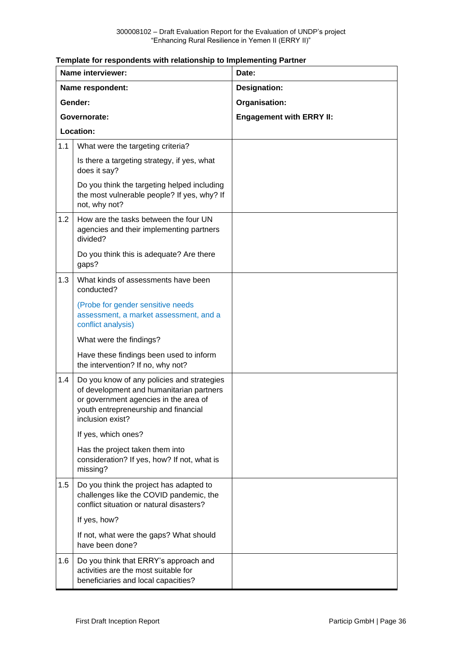#### **Template for respondents with relationship to Implementing Partner**

|           | Name interviewer:                                                                                                                                                                           | Date:                           |
|-----------|---------------------------------------------------------------------------------------------------------------------------------------------------------------------------------------------|---------------------------------|
|           | Name respondent:                                                                                                                                                                            | Designation:                    |
|           | Gender:                                                                                                                                                                                     | Organisation:                   |
|           | Governorate:                                                                                                                                                                                | <b>Engagement with ERRY II:</b> |
| Location: |                                                                                                                                                                                             |                                 |
| 1.1       | What were the targeting criteria?                                                                                                                                                           |                                 |
|           | Is there a targeting strategy, if yes, what<br>does it say?                                                                                                                                 |                                 |
|           | Do you think the targeting helped including<br>the most vulnerable people? If yes, why? If<br>not, why not?                                                                                 |                                 |
| 1.2       | How are the tasks between the four UN<br>agencies and their implementing partners<br>divided?                                                                                               |                                 |
|           | Do you think this is adequate? Are there<br>gaps?                                                                                                                                           |                                 |
| 1.3       | What kinds of assessments have been<br>conducted?                                                                                                                                           |                                 |
|           | (Probe for gender sensitive needs<br>assessment, a market assessment, and a<br>conflict analysis)                                                                                           |                                 |
|           | What were the findings?                                                                                                                                                                     |                                 |
|           | Have these findings been used to inform<br>the intervention? If no, why not?                                                                                                                |                                 |
| 1.4       | Do you know of any policies and strategies<br>of development and humanitarian partners<br>or government agencies in the area of<br>youth entrepreneurship and financial<br>inclusion exist? |                                 |
|           | If yes, which ones?                                                                                                                                                                         |                                 |
|           | Has the project taken them into<br>consideration? If yes, how? If not, what is<br>missing?                                                                                                  |                                 |
| 1.5       | Do you think the project has adapted to<br>challenges like the COVID pandemic, the<br>conflict situation or natural disasters?                                                              |                                 |
|           | If yes, how?                                                                                                                                                                                |                                 |
|           | If not, what were the gaps? What should<br>have been done?                                                                                                                                  |                                 |
| 1.6       | Do you think that ERRY's approach and<br>activities are the most suitable for<br>beneficiaries and local capacities?                                                                        |                                 |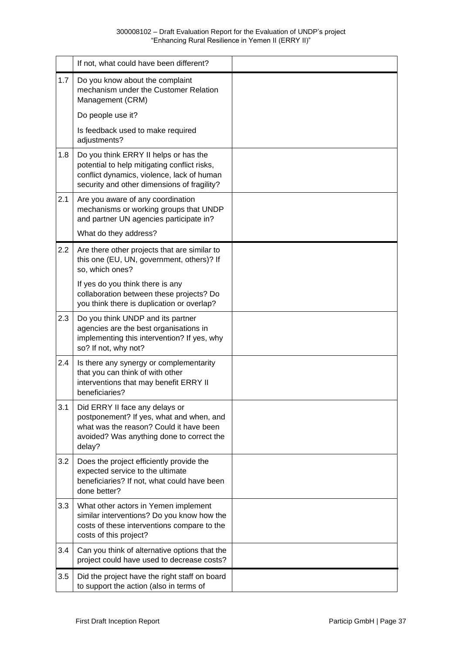|     | If not, what could have been different?                                                                                                                                            |  |
|-----|------------------------------------------------------------------------------------------------------------------------------------------------------------------------------------|--|
| 1.7 | Do you know about the complaint<br>mechanism under the Customer Relation<br>Management (CRM)                                                                                       |  |
|     | Do people use it?                                                                                                                                                                  |  |
|     | Is feedback used to make required<br>adjustments?                                                                                                                                  |  |
| 1.8 | Do you think ERRY II helps or has the<br>potential to help mitigating conflict risks,<br>conflict dynamics, violence, lack of human<br>security and other dimensions of fragility? |  |
| 2.1 | Are you aware of any coordination<br>mechanisms or working groups that UNDP<br>and partner UN agencies participate in?                                                             |  |
|     | What do they address?                                                                                                                                                              |  |
| 2.2 | Are there other projects that are similar to<br>this one (EU, UN, government, others)? If<br>so, which ones?                                                                       |  |
|     | If yes do you think there is any<br>collaboration between these projects? Do<br>you think there is duplication or overlap?                                                         |  |
| 2.3 | Do you think UNDP and its partner<br>agencies are the best organisations in<br>implementing this intervention? If yes, why<br>so? If not, why not?                                 |  |
| 2.4 | Is there any synergy or complementarity<br>that you can think of with other<br>interventions that may benefit ERRY II<br>beneficiaries?                                            |  |
| 3.1 | Did ERRY II face any delays or<br>postponement? If yes, what and when, and<br>what was the reason? Could it have been<br>avoided? Was anything done to correct the<br>delay?       |  |
| 3.2 | Does the project efficiently provide the<br>expected service to the ultimate<br>beneficiaries? If not, what could have been<br>done better?                                        |  |
| 3.3 | What other actors in Yemen implement<br>similar interventions? Do you know how the<br>costs of these interventions compare to the<br>costs of this project?                        |  |
| 3.4 | Can you think of alternative options that the<br>project could have used to decrease costs?                                                                                        |  |
| 3.5 | Did the project have the right staff on board<br>to support the action (also in terms of                                                                                           |  |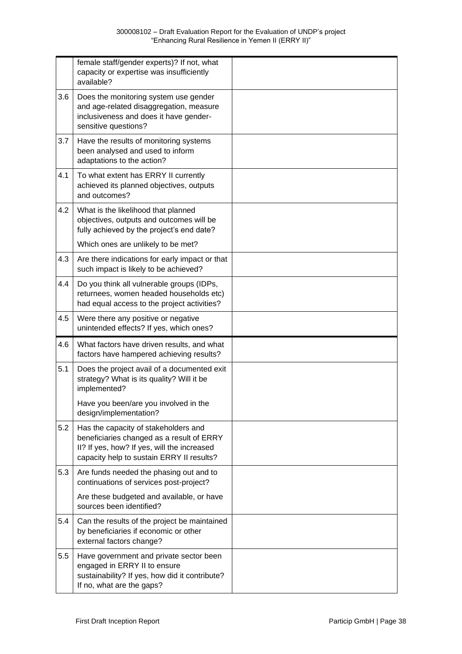|     | female staff/gender experts)? If not, what<br>capacity or expertise was insufficiently<br>available?                                                                          |  |
|-----|-------------------------------------------------------------------------------------------------------------------------------------------------------------------------------|--|
| 3.6 | Does the monitoring system use gender<br>and age-related disaggregation, measure<br>inclusiveness and does it have gender-<br>sensitive questions?                            |  |
| 3.7 | Have the results of monitoring systems<br>been analysed and used to inform<br>adaptations to the action?                                                                      |  |
| 4.1 | To what extent has ERRY II currently<br>achieved its planned objectives, outputs<br>and outcomes?                                                                             |  |
| 4.2 | What is the likelihood that planned<br>objectives, outputs and outcomes will be<br>fully achieved by the project's end date?                                                  |  |
|     | Which ones are unlikely to be met?                                                                                                                                            |  |
| 4.3 | Are there indications for early impact or that<br>such impact is likely to be achieved?                                                                                       |  |
| 4.4 | Do you think all vulnerable groups (IDPs,<br>returnees, women headed households etc)<br>had equal access to the project activities?                                           |  |
| 4.5 | Were there any positive or negative<br>unintended effects? If yes, which ones?                                                                                                |  |
| 4.6 | What factors have driven results, and what<br>factors have hampered achieving results?                                                                                        |  |
| 5.1 | Does the project avail of a documented exit<br>strategy? What is its quality? Will it be<br>implemented?                                                                      |  |
|     | Have you been/are you involved in the<br>design/implementation?                                                                                                               |  |
| 5.2 | Has the capacity of stakeholders and<br>beneficiaries changed as a result of ERRY<br>II? If yes, how? If yes, will the increased<br>capacity help to sustain ERRY II results? |  |
| 5.3 | Are funds needed the phasing out and to<br>continuations of services post-project?                                                                                            |  |
|     | Are these budgeted and available, or have<br>sources been identified?                                                                                                         |  |
| 5.4 | Can the results of the project be maintained<br>by beneficiaries if economic or other<br>external factors change?                                                             |  |
| 5.5 | Have government and private sector been<br>engaged in ERRY II to ensure<br>sustainability? If yes, how did it contribute?<br>If no, what are the gaps?                        |  |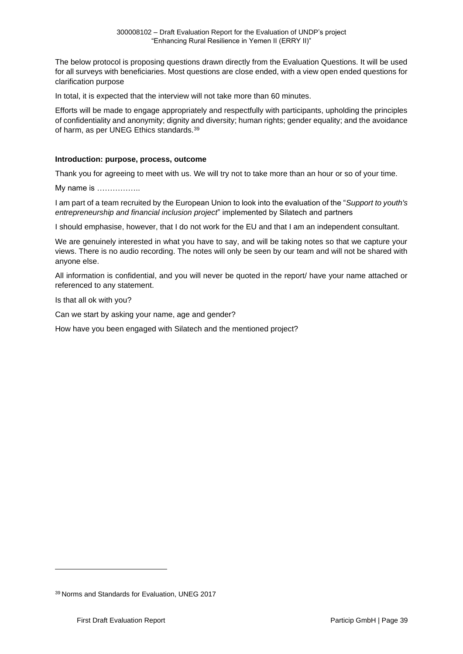The below protocol is proposing questions drawn directly from the Evaluation Questions. It will be used for all surveys with beneficiaries. Most questions are close ended, with a view open ended questions for clarification purpose

In total, it is expected that the interview will not take more than 60 minutes.

Efforts will be made to engage appropriately and respectfully with participants, upholding the principles of confidentiality and anonymity; dignity and diversity; human rights; gender equality; and the avoidance of harm, as per UNEG Ethics standards.<sup>39</sup>

#### **Introduction: purpose, process, outcome**

Thank you for agreeing to meet with us. We will try not to take more than an hour or so of your time.

My name is ……………..

I am part of a team recruited by the European Union to look into the evaluation of the "*Support to youth's entrepreneurship and financial inclusion project*" implemented by Silatech and partners

I should emphasise, however, that I do not work for the EU and that I am an independent consultant.

We are genuinely interested in what you have to say, and will be taking notes so that we capture your views. There is no audio recording. The notes will only be seen by our team and will not be shared with anyone else.

All information is confidential, and you will never be quoted in the report/ have your name attached or referenced to any statement.

Is that all ok with you?

Can we start by asking your name, age and gender?

How have you been engaged with Silatech and the mentioned project?

<sup>39</sup> Norms and Standards for Evaluation, UNEG 2017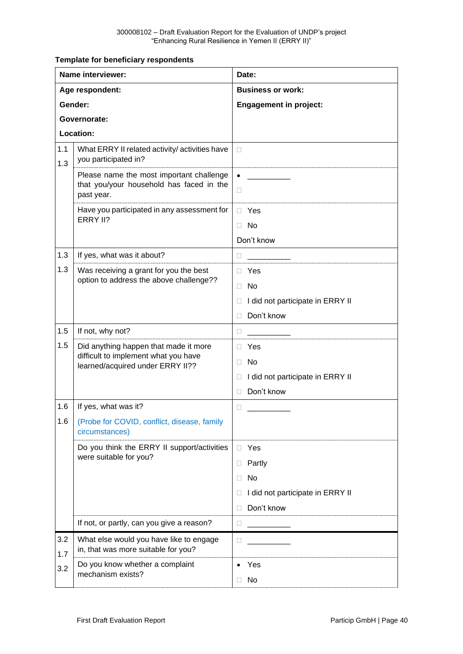**Template for beneficiary respondents** 

|            | Name interviewer:                                                                                  | Date:                                      |
|------------|----------------------------------------------------------------------------------------------------|--------------------------------------------|
|            | Age respondent:                                                                                    | <b>Business or work:</b>                   |
|            | Gender:                                                                                            | <b>Engagement in project:</b>              |
|            | Governorate:                                                                                       |                                            |
| Location:  |                                                                                                    |                                            |
| 1.1<br>1.3 | What ERRY II related activity/ activities have<br>you participated in?                             | П                                          |
|            | Please name the most important challenge<br>that you/your household has faced in the<br>past year. | $\bullet$<br>$\Box$                        |
|            | Have you participated in any assessment for                                                        | $\Box$ Yes                                 |
|            | ERRY II?                                                                                           | No<br>$\Box$                               |
|            |                                                                                                    | Don't know                                 |
| 1.3        | If yes, what was it about?                                                                         | O.                                         |
| 1.3        | Was receiving a grant for you the best                                                             | $\Box$ Yes                                 |
|            | option to address the above challenge??                                                            | <b>No</b><br>П.                            |
|            |                                                                                                    | I did not participate in ERRY II<br>$\Box$ |
|            |                                                                                                    | Don't know<br>П                            |
| 1.5        | If not, why not?                                                                                   | $\Box$                                     |
| 1.5        | Did anything happen that made it more                                                              | $\Box$ Yes                                 |
|            | difficult to implement what you have<br>learned/acquired under ERRY II??                           | <b>No</b><br>П.                            |
|            |                                                                                                    | I did not participate in ERRY II<br>$\Box$ |
|            |                                                                                                    | Don't know<br>П                            |
| 1.6        | If yes, what was it?                                                                               | 0                                          |
| 1.6        | (Probe for COVID, conflict, disease, family<br>circumstances)                                      |                                            |
|            | Do you think the ERRY II support/activities                                                        | □ Yes                                      |
|            | were suitable for you?                                                                             | Partly<br>$\Box$                           |
|            |                                                                                                    | <b>No</b><br>П.                            |
|            |                                                                                                    | I did not participate in ERRY II<br>П      |
|            |                                                                                                    | Don't know<br>П                            |
|            | If not, or partly, can you give a reason?                                                          | $\Box$                                     |
| 3.2<br>1.7 | What else would you have like to engage<br>in, that was more suitable for you?                     | П                                          |
| 3.2        | Do you know whether a complaint                                                                    | Yes                                        |
|            | mechanism exists?                                                                                  | $\Box$ No                                  |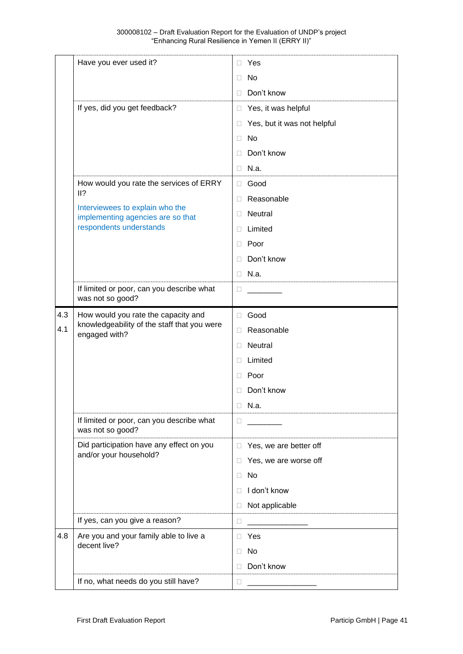|     | Have you ever used it?                                                                              | Yes<br>П                         |
|-----|-----------------------------------------------------------------------------------------------------|----------------------------------|
|     |                                                                                                     | No<br>Ш                          |
|     |                                                                                                     | Don't know<br>П                  |
|     | If yes, did you get feedback?                                                                       | Yes, it was helpful<br>П         |
|     |                                                                                                     | Yes, but it was not helpful<br>Ц |
|     |                                                                                                     | No<br>$\mathbf{L}$               |
|     |                                                                                                     | Don't know<br>□                  |
|     |                                                                                                     | N.a.<br>П                        |
|     | How would you rate the services of ERRY                                                             | Good<br>0                        |
|     | 11?                                                                                                 | Reasonable<br>$\mathbf{L}$       |
|     | Interviewees to explain who the<br>implementing agencies are so that                                | <b>Neutral</b><br>□              |
|     | respondents understands                                                                             | Limited<br>П                     |
|     |                                                                                                     | Poor<br>□                        |
|     |                                                                                                     | Don't know<br>П                  |
|     |                                                                                                     | N.a.<br>П                        |
|     | If limited or poor, can you describe what                                                           | $\mathbf{L}$                     |
|     | was not so good?                                                                                    |                                  |
| 4.3 | How would you rate the capacity and<br>knowledgeability of the staff that you were<br>engaged with? | Good<br>П                        |
| 4.1 |                                                                                                     | Reasonable<br>П                  |
|     |                                                                                                     | <b>Neutral</b><br>$\mathbf{L}$   |
|     |                                                                                                     | Limited<br>□                     |
|     |                                                                                                     |                                  |
|     |                                                                                                     | Poor<br>⊔                        |
|     |                                                                                                     | Don't know<br>П                  |
|     |                                                                                                     | $\Box$<br>N.a.                   |
|     | If limited or poor, can you describe what<br>was not so good?                                       | □                                |
|     | Did participation have any effect on you                                                            | Yes, we are better off<br>П.     |
|     | and/or your household?                                                                              | Yes, we are worse off<br>□       |
|     |                                                                                                     | No<br>П                          |
|     |                                                                                                     | I don't know<br>П                |
|     |                                                                                                     | Not applicable<br>□              |
|     | If yes, can you give a reason?                                                                      | □                                |
| 4.8 | Are you and your family able to live a                                                              | □ Yes                            |
|     | decent live?                                                                                        | <b>No</b><br>□                   |
|     |                                                                                                     | Don't know<br>П                  |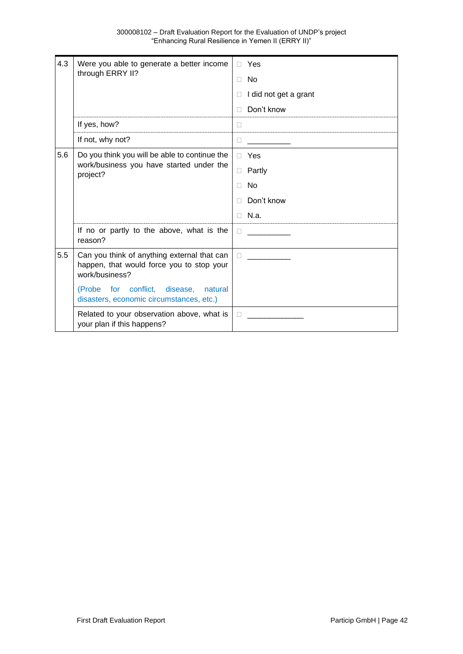| 4.3 | Were you able to generate a better income<br>through ERRY II?                                              | Yes<br>П.<br><b>No</b><br>П |
|-----|------------------------------------------------------------------------------------------------------------|-----------------------------|
|     |                                                                                                            | I did not get a grant<br>П  |
|     |                                                                                                            | Don't know<br>П             |
|     | If yes, how?                                                                                               | $\Box$                      |
|     | If not, why not?                                                                                           | П                           |
| 5.6 | Do you think you will be able to continue the<br>work/business you have started under the<br>project?      | Yes<br>$\Box$               |
|     |                                                                                                            | Partly<br>$\Box$            |
|     |                                                                                                            | No<br>П                     |
|     |                                                                                                            | Don't know<br>П             |
|     |                                                                                                            | N.a.<br>п                   |
|     | If no or partly to the above, what is the<br>reason?                                                       | $\mathbf{L}$                |
| 5.5 | Can you think of anything external that can<br>happen, that would force you to stop your<br>work/business? | $\Box$                      |
|     | (Probe for conflict, disease,<br>natural<br>disasters, economic circumstances, etc.)                       |                             |
|     | Related to your observation above, what is<br>your plan if this happens?                                   | П                           |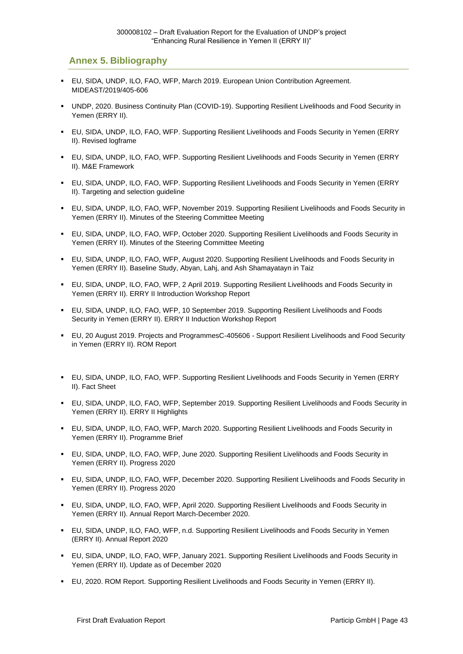### <span id="page-52-0"></span>**Annex 5. Bibliography**

- EU, SIDA, UNDP, ILO, FAO, WFP, March 2019. European Union Contribution Agreement. MIDEAST/2019/405-606
- UNDP, 2020. Business Continuity Plan (COVID-19). Supporting Resilient Livelihoods and Food Security in Yemen (ERRY II).
- EU, SIDA, UNDP, ILO, FAO, WFP. Supporting Resilient Livelihoods and Foods Security in Yemen (ERRY II). Revised logframe
- EU, SIDA, UNDP, ILO, FAO, WFP. Supporting Resilient Livelihoods and Foods Security in Yemen (ERRY II). M&E Framework
- EU, SIDA, UNDP, ILO, FAO, WFP. Supporting Resilient Livelihoods and Foods Security in Yemen (ERRY II). Targeting and selection guideline
- EU, SIDA, UNDP, ILO, FAO, WFP, November 2019. Supporting Resilient Livelihoods and Foods Security in Yemen (ERRY II). Minutes of the Steering Committee Meeting
- EU, SIDA, UNDP, ILO, FAO, WFP, October 2020. Supporting Resilient Livelihoods and Foods Security in Yemen (ERRY II). Minutes of the Steering Committee Meeting
- EU, SIDA, UNDP, ILO, FAO, WFP, August 2020. Supporting Resilient Livelihoods and Foods Security in Yemen (ERRY II). Baseline Study, Abyan, Lahj, and Ash Shamayatayn in Taiz
- EU, SIDA, UNDP, ILO, FAO, WFP, 2 April 2019. Supporting Resilient Livelihoods and Foods Security in Yemen (ERRY II). ERRY II Introduction Workshop Report
- EU, SIDA, UNDP, ILO, FAO, WFP, 10 September 2019. Supporting Resilient Livelihoods and Foods Security in Yemen (ERRY II). ERRY II Induction Workshop Report
- EU, 20 August 2019. Projects and ProgrammesC-405606 Support Resilient Livelihoods and Food Security in Yemen (ERRY II). ROM Report
- EU, SIDA, UNDP, ILO, FAO, WFP. Supporting Resilient Livelihoods and Foods Security in Yemen (ERRY II). Fact Sheet
- EU, SIDA, UNDP, ILO, FAO, WFP, September 2019. Supporting Resilient Livelihoods and Foods Security in Yemen (ERRY II). ERRY II Highlights
- EU, SIDA, UNDP, ILO, FAO, WFP, March 2020. Supporting Resilient Livelihoods and Foods Security in Yemen (ERRY II). Programme Brief
- EU, SIDA, UNDP, ILO, FAO, WFP, June 2020. Supporting Resilient Livelihoods and Foods Security in Yemen (ERRY II). Progress 2020
- EU, SIDA, UNDP, ILO, FAO, WFP, December 2020. Supporting Resilient Livelihoods and Foods Security in Yemen (ERRY II). Progress 2020
- EU, SIDA, UNDP, ILO, FAO, WFP, April 2020. Supporting Resilient Livelihoods and Foods Security in Yemen (ERRY II). Annual Report March-December 2020.
- EU, SIDA, UNDP, ILO, FAO, WFP, n.d. Supporting Resilient Livelihoods and Foods Security in Yemen (ERRY II). Annual Report 2020
- EU, SIDA, UNDP, ILO, FAO, WFP, January 2021. Supporting Resilient Livelihoods and Foods Security in Yemen (ERRY II). Update as of December 2020
- EU, 2020. ROM Report. Supporting Resilient Livelihoods and Foods Security in Yemen (ERRY II).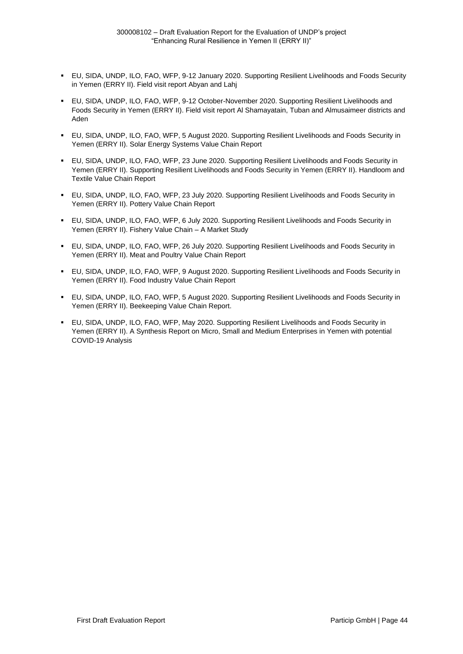- EU, SIDA, UNDP, ILO, FAO, WFP, 9-12 January 2020. Supporting Resilient Livelihoods and Foods Security in Yemen (ERRY II). Field visit report Abyan and Lahj
- EU, SIDA, UNDP, ILO, FAO, WFP, 9-12 October-November 2020. Supporting Resilient Livelihoods and Foods Security in Yemen (ERRY II). Field visit report Al Shamayatain, Tuban and Almusaimeer districts and Aden
- EU, SIDA, UNDP, ILO, FAO, WFP, 5 August 2020. Supporting Resilient Livelihoods and Foods Security in Yemen (ERRY II). Solar Energy Systems Value Chain Report
- EU, SIDA, UNDP, ILO, FAO, WFP, 23 June 2020. Supporting Resilient Livelihoods and Foods Security in Yemen (ERRY II). Supporting Resilient Livelihoods and Foods Security in Yemen (ERRY II). Handloom and Textile Value Chain Report
- EU, SIDA, UNDP, ILO, FAO, WFP, 23 July 2020. Supporting Resilient Livelihoods and Foods Security in Yemen (ERRY II). Pottery Value Chain Report
- EU, SIDA, UNDP, ILO, FAO, WFP, 6 July 2020, Supporting Resilient Livelihoods and Foods Security in Yemen (ERRY II). Fishery Value Chain – A Market Study
- EU, SIDA, UNDP, ILO, FAO, WFP, 26 July 2020. Supporting Resilient Livelihoods and Foods Security in Yemen (ERRY II). Meat and Poultry Value Chain Report
- EU, SIDA, UNDP, ILO, FAO, WFP, 9 August 2020. Supporting Resilient Livelihoods and Foods Security in Yemen (ERRY II). Food Industry Value Chain Report
- EU, SIDA, UNDP, ILO, FAO, WFP, 5 August 2020, Supporting Resilient Livelihoods and Foods Security in Yemen (ERRY II). Beekeeping Value Chain Report.
- EU, SIDA, UNDP, ILO, FAO, WFP, May 2020. Supporting Resilient Livelihoods and Foods Security in Yemen (ERRY II). A Synthesis Report on Micro, Small and Medium Enterprises in Yemen with potential COVID-19 Analysis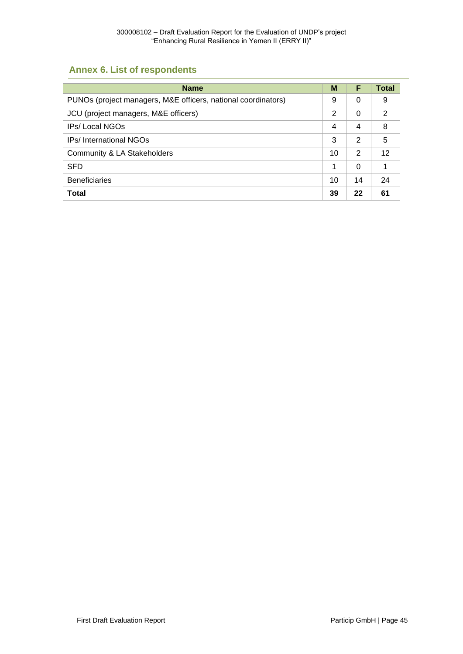# <span id="page-54-0"></span>**Annex 6. List of respondents**

| <b>Name</b>                                                   | M              | F        | <b>Total</b> |
|---------------------------------------------------------------|----------------|----------|--------------|
| PUNOs (project managers, M&E officers, national coordinators) | 9              | 0        | 9            |
| JCU (project managers, M&E officers)                          | $\overline{2}$ | $\Omega$ | 2            |
| <b>IPs/Local NGOs</b>                                         | 4              | 4        | 8            |
| <b>IPs/International NGOs</b>                                 | 3              | 2        | 5            |
| Community & LA Stakeholders                                   | 10             | 2        | 12           |
| SFD                                                           | 1              | $\Omega$ | 1            |
| <b>Beneficiaries</b>                                          | 10             | 14       | 24           |
| <b>Total</b>                                                  | 39             | 22       | 61           |